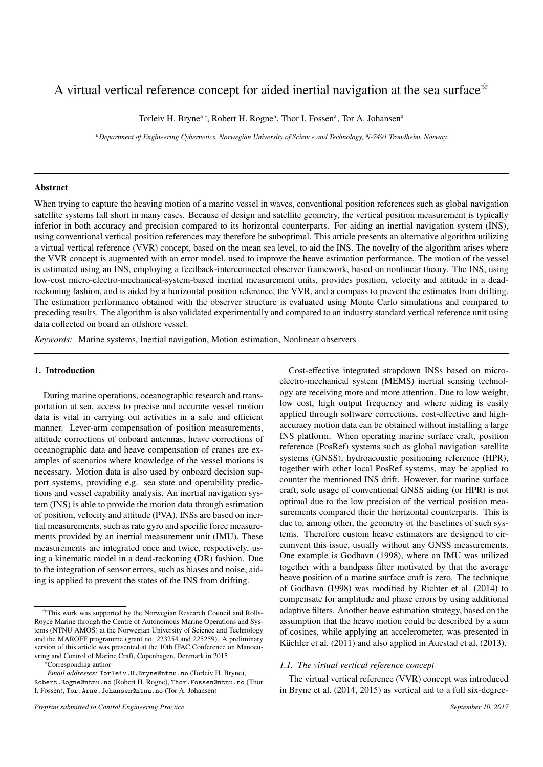# A virtual vertical reference concept for aided inertial navigation at the sea surface  $\hat{\mathbf{x}}$

Torleiv H. Bryne<sup>a,\*</sup>, Robert H. Rogne<sup>a</sup>, Thor I. Fossen<sup>a</sup>, Tor A. Johansen<sup>a</sup>

*<sup>a</sup>Department of Engineering Cybernetics, Norwegian University of Science and Technology, N-7491 Trondheim, Norway*

# Abstract

When trying to capture the heaving motion of a marine vessel in waves, conventional position references such as global navigation satellite systems fall short in many cases. Because of design and satellite geometry, the vertical position measurement is typically inferior in both accuracy and precision compared to its horizontal counterparts. For aiding an inertial navigation system (INS), using conventional vertical position references may therefore be suboptimal. This article presents an alternative algorithm utilizing a virtual vertical reference (VVR) concept, based on the mean sea level, to aid the INS. The novelty of the algorithm arises where the VVR concept is augmented with an error model, used to improve the heave estimation performance. The motion of the vessel is estimated using an INS, employing a feedback-interconnected observer framework, based on nonlinear theory. The INS, using low-cost micro-electro-mechanical-system-based inertial measurement units, provides position, velocity and attitude in a deadreckoning fashion, and is aided by a horizontal position reference, the VVR, and a compass to prevent the estimates from drifting. The estimation performance obtained with the observer structure is evaluated using Monte Carlo simulations and compared to preceding results. The algorithm is also validated experimentally and compared to an industry standard vertical reference unit using data collected on board an offshore vessel.

*Keywords:* Marine systems, Inertial navigation, Motion estimation, Nonlinear observers

# 1. Introduction

During marine operations, oceanographic research and transportation at sea, access to precise and accurate vessel motion data is vital in carrying out activities in a safe and efficient manner. Lever-arm compensation of position measurements, attitude corrections of onboard antennas, heave corrections of oceanographic data and heave compensation of cranes are examples of scenarios where knowledge of the vessel motions is necessary. Motion data is also used by onboard decision support systems, providing e.g. sea state and operability predictions and vessel capability analysis. An inertial navigation system (INS) is able to provide the motion data through estimation of position, velocity and attitude (PVA). INSs are based on inertial measurements, such as rate gyro and specific force measurements provided by an inertial measurement unit (IMU). These measurements are integrated once and twice, respectively, using a kinematic model in a dead-reckoning (DR) fashion. Due to the integration of sensor errors, such as biases and noise, aiding is applied to prevent the states of the INS from drifting.

<sup>∗</sup>Corresponding author

Cost-effective integrated strapdown INSs based on microelectro-mechanical system (MEMS) inertial sensing technology are receiving more and more attention. Due to low weight, low cost, high output frequency and where aiding is easily applied through software corrections, cost-effective and highaccuracy motion data can be obtained without installing a large INS platform. When operating marine surface craft, position reference (PosRef) systems such as global navigation satellite systems (GNSS), hydroacoustic positioning reference (HPR), together with other local PosRef systems, may be applied to counter the mentioned INS drift. However, for marine surface craft, sole usage of conventional GNSS aiding (or HPR) is not optimal due to the low precision of the vertical position measurements compared their the horizontal counterparts. This is due to, among other, the geometry of the baselines of such systems. Therefore custom heave estimators are designed to circumvent this issue, usually without any GNSS measurements. One example is [Godhavn](#page-15-0) [\(1998\)](#page-15-0), where an IMU was utilized together with a bandpass filter motivated by that the average heave position of a marine surface craft is zero. The technique of [Godhavn](#page-15-0) [\(1998\)](#page-15-0) was modified by [Richter et al.](#page-15-1) [\(2014\)](#page-15-1) to compensate for amplitude and phase errors by using additional adaptive filters. Another heave estimation strategy, based on the assumption that the heave motion could be described by a sum of cosines, while applying an accelerometer, was presented in Küchler et al. [\(2011\)](#page-15-2) and also applied in [Auestad et al.](#page-15-3) [\(2013\)](#page-15-3).

# <span id="page-0-0"></span>*1.1. The virtual vertical reference concept*

The virtual vertical reference (VVR) concept was introduced in [Bryne et al.](#page-15-4) [\(2014,](#page-15-4) [2015\)](#page-15-5) as vertical aid to a full six-degree-

 $*$ This work was supported by the Norwegian Research Council and Rolls-Royce Marine through the Centre of Autonomous Marine Operations and Systems (NTNU AMOS) at the Norwegian University of Science and Technology and the MAROFF programme (grant no. 223254 and 225259). A preliminary version of this article was presented at the 10th IFAC Conference on Manoeuvring and Control of Marine Craft, Copenhagen, Denmark in 2015

*Email addresses:* Torleiv.H.Bryne@ntnu.no (Torleiv H. Bryne), Robert.Rogne@ntnu.no (Robert H. Rogne), Thor.Fossen@ntnu.no (Thor I. Fossen), Tor.Arne.Johansen@ntnu.no (Tor A. Johansen)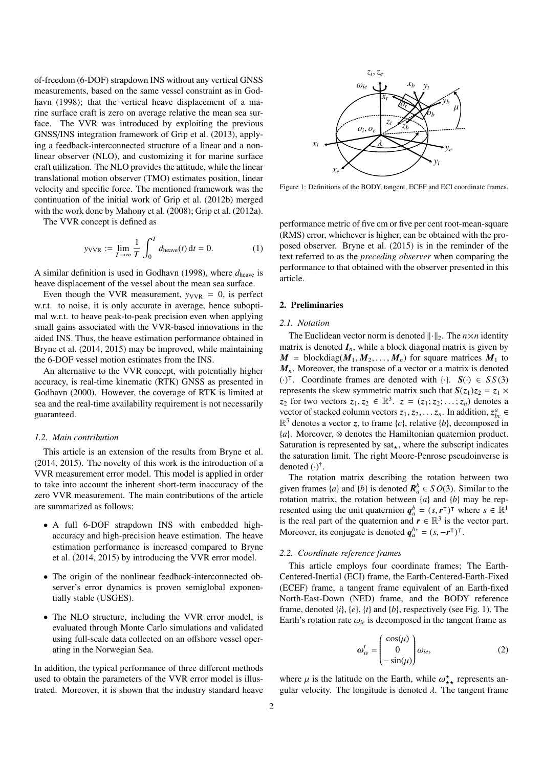of-freedom (6-DOF) strapdown INS without any vertical GNSS measurements, based on the same vessel constraint as in [God](#page-15-0)[havn](#page-15-0) [\(1998\)](#page-15-0); that the vertical heave displacement of a marine surface craft is zero on average relative the mean sea surface. The VVR was introduced by exploiting the previous GNSS/INS integration framework of [Grip et al.](#page-15-6) [\(2013\)](#page-15-6), applying a feedback-interconnected structure of a linear and a nonlinear observer (NLO), and customizing it for marine surface craft utilization. The NLO provides the attitude, while the linear translational motion observer (TMO) estimates position, linear velocity and specific force. The mentioned framework was the continuation of the initial work of [Grip et al.](#page-15-7) [\(2012b\)](#page-15-7) merged with the work done by [Mahony et al.](#page-15-8) [\(2008\)](#page-15-8); [Grip et al.](#page-15-9) [\(2012a\)](#page-15-9).

The VVR concept is defined as

$$
y_{\text{VVR}} := \lim_{T \to \infty} \frac{1}{T} \int_0^T d_{\text{heave}}(t) dt = 0.
$$
 (1)

A similar definition is used in [Godhavn](#page-15-0) [\(1998\)](#page-15-0), where *d*heave is heave displacement of the vessel about the mean sea surface.

Even though the VVR measurement,  $y_{VVR} = 0$ , is perfect w.r.t. to noise, it is only accurate in average, hence suboptimal w.r.t. to heave peak-to-peak precision even when applying small gains associated with the VVR-based innovations in the aided INS. Thus, the heave estimation performance obtained in [Bryne et al.](#page-15-4) [\(2014,](#page-15-4) [2015\)](#page-15-5) may be improved, while maintaining the 6-DOF vessel motion estimates from the INS.

An alternative to the VVR concept, with potentially higher accuracy, is real-time kinematic (RTK) GNSS as presented in [Godhavn](#page-15-10) [\(2000\)](#page-15-10). However, the coverage of RTK is limited at sea and the real-time availability requirement is not necessarily guaranteed.

#### *1.2. Main contribution*

This article is an extension of the results from [Bryne et al.](#page-15-4) [\(2014,](#page-15-4) [2015\)](#page-15-5). The novelty of this work is the introduction of a VVR measurement error model. This model is applied in order to take into account the inherent short-term inaccuracy of the zero VVR measurement. The main contributions of the article are summarized as follows:

- A full 6-DOF strapdown INS with embedded highaccuracy and high-precision heave estimation. The heave estimation performance is increased compared to [Bryne](#page-15-4) [et al.](#page-15-4) [\(2014,](#page-15-4) [2015\)](#page-15-5) by introducing the VVR error model.
- The origin of the nonlinear feedback-interconnected observer's error dynamics is proven semiglobal exponentially stable (USGES).
- The NLO structure, including the VVR error model, is evaluated through Monte Carlo simulations and validated using full-scale data collected on an offshore vessel operating in the Norwegian Sea.

In addition, the typical performance of three different methods used to obtain the parameters of the VVR error model is illustrated. Moreover, it is shown that the industry standard heave

<span id="page-1-0"></span>

Figure 1: Definitions of the BODY, tangent, ECEF and ECI coordinate frames.

<span id="page-1-1"></span>performance metric of five cm or five per cent root-mean-square (RMS) error, whichever is higher, can be obtained with the proposed observer. [Bryne et al.](#page-15-5) [\(2015\)](#page-15-5) is in the reminder of the text referred to as the *preceding observer* when comparing the performance to that obtained with the observer presented in this article.

# 2. Preliminaries

#### <span id="page-1-2"></span>*2.1. Notation*

The Euclidean vector norm is denoted  $\|\cdot\|_2$ . The  $n \times n$  identity matrix is denoted  $I_n$ , while a block diagonal matrix is given by  $M = \text{blockdiag}(M_1, M_2, \ldots, M_n)$  for square matrices  $M_1$  to  $M<sub>n</sub>$ . Moreover, the transpose of a vector or a matrix is denoted (·) | . Coordinate frames are denoted with {·}. *S*(·) ∈ *S S* (3) represents the skew symmetric matrix such that  $S(z_1)z_2 = z_1 \times$  $z_2$  for two vectors  $z_1, z_2 \in \mathbb{R}^3$ .  $z = (z_1; z_2; \dots; z_n)$  denotes a<br>vector of stacked column vectors  $z_1, z_2, z_3, z_4$ . In addition  $z^a \in$ vector of stacked column vectors  $z_1, z_2, \ldots z_n$ . In addition,  $z_{bc}^a \in \mathbb{R}^3$  denotes a vector z to frame *[c]* relative *[b]* decomposed in  $\mathbb{R}^3$  denotes a vector *z*, to frame {*c*}, relative {*b*}, decomposed in {*a*}. Moreover, ⊗ denotes the Hamiltonian quaternion product. Saturation is represented by  $sat_{\star}$ , where the subscript indicates the saturation limit. The right Moore-Penrose pseudoinverse is denoted  $(\cdot)^\dagger$ .

The rotation matrix describing the rotation between two given frames  $\{a\}$  and  $\{b\}$  is denoted  $\mathbf{R}_a^b \in SO(3)$ . Similar to the rotation matrix, the rotation between {*a*} and {*b*} may be represented using the unit quaternion  $q_a^b = (s, r^{\top})^{\top}$  where  $s \in \mathbb{R}^1$ <br>is the real part of the quaternion and  $r \in \mathbb{R}^3$  is the vector part is the real part of the quaternion and  $r \in \mathbb{R}^3$  is the vector part. Moreover, its conjugate is denoted  $q_a^{b*} = (s, -r^{\intercal})^{\intercal}$ .

### *2.2. Coordinate reference frames*

This article employs four coordinate frames; The Earth-Centered-Inertial (ECI) frame, the Earth-Centered-Earth-Fixed (ECEF) frame, a tangent frame equivalent of an Earth-fixed North-East-Down (NED) frame, and the BODY reference frame, denoted {*i*}, {*e*}, {*t*} and {*b*}, respectively (see Fig. [1\)](#page-1-0). The Earth's rotation rate  $\omega_{ie}$  is decomposed in the tangent frame as

$$
\omega_{ie}^t = \begin{pmatrix} \cos(\mu) \\ 0 \\ -\sin(\mu) \end{pmatrix} \omega_{ie},
$$
 (2)

where  $\mu$  is the latitude on the Earth, while  $\omega_{\lambda}^*$  represents an-<br>gular velocity. The longitude is denoted  $\lambda$ . The tangent frame gular velocity. The longitude is denoted  $\lambda$ . The tangent frame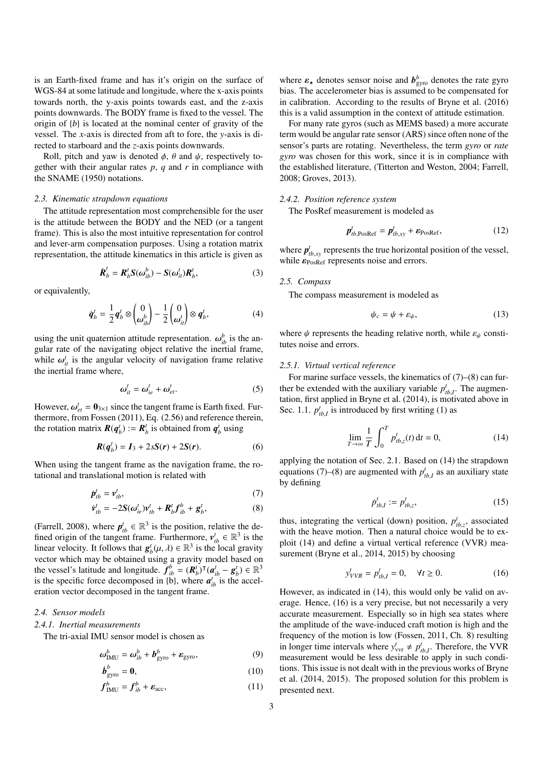is an Earth-fixed frame and has it's origin on the surface of WGS-84 at some latitude and longitude, where the x-axis points towards north, the y-axis points towards east, and the z-axis points downwards. The BODY frame is fixed to the vessel. The origin of {*b*} is located at the nominal center of gravity of the vessel. The *x*-axis is directed from aft to fore, the *y*-axis is directed to starboard and the *z*-axis points downwards.

Roll, pitch and yaw is denoted  $\phi$ ,  $\theta$  and  $\psi$ , respectively together with their angular rates *p*, *q* and *r* in compliance with the [SNAME](#page-15-11) [\(1950\)](#page-15-11) notations.

#### *2.3. Kinematic strapdown equations*

The attitude representation most comprehensible for the user is the attitude between the BODY and the NED (or a tangent frame). This is also the most intuitive representation for control and lever-arm compensation purposes. Using a rotation matrix representation, the attitude kinematics in this article is given as

$$
\dot{\boldsymbol{R}}_b^t = \boldsymbol{R}_b^t \boldsymbol{S}(\boldsymbol{\omega}_{ib}^b) - \boldsymbol{S}(\boldsymbol{\omega}_{it}^t) \boldsymbol{R}_b^t,\tag{3}
$$

or equivalently,

$$
\dot{q}_b^t = \frac{1}{2} q_b^t \otimes \begin{pmatrix} 0 \\ \omega_{ib}^b \end{pmatrix} - \frac{1}{2} \begin{pmatrix} 0 \\ \omega_{it}^t \end{pmatrix} \otimes q_b^t, \tag{4}
$$

using the unit quaternion attitude representation.  $\omega_{ib}^b$  is the an-<br>
gular rate of the navigating object relative the inertial frame gular rate of the navigating object relative the inertial frame, while  $\omega_{it}^i$  is the angular velocity of navigation frame relative the inertial frame where the inertial frame where,

$$
\boldsymbol{\omega}_{it}^t = \boldsymbol{\omega}_{ie}^t + \boldsymbol{\omega}_{et}^t. \tag{5}
$$

However,  $\omega_{et}^t = \mathbf{0}_{3\times1}$  since the tangent frame is Earth fixed. Fur-<br>thermore, from Fossen (2011), Eq. (2.56) and reference therein thermore, from [Fossen](#page-15-12) [\(2011\)](#page-15-12), Eq. (2.56) and reference therein, the rotation matrix  $\mathbf{R}(\mathbf{q}_b^t) := \mathbf{R}_b^t$  is obtained from  $\mathbf{q}_b^t$  using

$$
R(q_b^t) = I_3 + 2sS(r) + 2S(r).
$$
 (6)

When using the tangent frame as the navigation frame, the rotational and translational motion is related with

$$
\dot{\boldsymbol{p}}_{tb}^t = \boldsymbol{v}_{tb}^t,\tag{7}
$$

$$
\dot{\boldsymbol{v}}_{tb}^t = -2\mathbf{S}(\boldsymbol{\omega}_{te}^t)\boldsymbol{v}_{tb}^t + \boldsymbol{R}_b^t \boldsymbol{f}_{ib}^b + \boldsymbol{g}_b^t,
$$
\n(8)

[\(Farrell, 2008\)](#page-15-13), where  $p_{tb}^t \in \mathbb{R}^3$  is the position, relative the defined origin of the tangent frame. Furthermore,  $v_{tb}^t \in \mathbb{R}^3$  is the linear velocity. It follows that  $g_b^t(\mu, \lambda) \in \mathbb{R}^3$  is the local gravity vector which may be obtained using a gravity model based on vector which may be obtained using a gravity model based on the vessel's latitude and longitude.  $f_{ib}^b = (R_b^t)^\intercal (a_{ib}^t - g_b^t) \in \mathbb{R}^3$ is the specific force decomposed in  $\{b\}$ , where  $a_{ib}^t$  is the acceleration vector decomposed in the tangent frame.

#### *2.4. Sensor models*

#### *2.4.1. Inertial measurements*

The tri-axial IMU sensor model is chosen as

$$
\omega_{\text{IMU}}^b = \omega_{ib}^b + \boldsymbol{b}_{\text{gyro}}^b + \boldsymbol{\varepsilon}_{\text{gyro}},
$$
\n(9)

$$
\dot{\boldsymbol{b}}_{\text{gyro}}^b = \mathbf{0},\tag{10}
$$

$$
f_{\text{IMU}}^b = f_{ib}^b + \varepsilon_{\text{acc}},\tag{11}
$$

where  $\varepsilon_{\star}$  denotes sensor noise and  $b_{\text{gyro}}^b$  denotes the rate gyro<br>bias. The accelerometer bias is assumed to be compensated for bias. The accelerometer bias is assumed to be compensated for in calibration. According to the results of [Bryne et al.](#page-15-14) [\(2016\)](#page-15-14) this is a valid assumption in the context of attitude estimation.

For many rate gyros (such as MEMS based) a more accurate term would be angular rate sensor (ARS) since often none of the sensor's parts are rotating. Nevertheless, the term *gyro* or *rate gyro* was chosen for this work, since it is in compliance with the established literature, [\(Titterton and Weston, 2004;](#page-15-15) [Farrell,](#page-15-13) [2008;](#page-15-13) [Groves, 2013\)](#page-15-16).

# *2.4.2. Position reference system*

The PosRef measurement is modeled as

$$
\boldsymbol{p}_{tb,\text{PosRef}}^t = \boldsymbol{p}_{tb,xy}^t + \boldsymbol{\varepsilon}_{\text{PosRef}},
$$
 (12)

where  $p_{th,xy}^t$  represents the true horizontal position of the vessel, where  $P_{tb,xy}$  represents the true horizontal while  $\varepsilon_{\text{PosRef}}$  represents noise and errors.

#### *2.5. Compass*

The compass measurement is modeled as

$$
\psi_c = \psi + \varepsilon_{\psi},\tag{13}
$$

where  $\psi$  represents the heading relative north, while  $\varepsilon_{\psi}$  constitutes noise and errors.

#### <span id="page-2-4"></span>*2.5.1. Virtual vertical reference*

For marine surface vessels, the kinematics of  $(7)$ – $(8)$  can further be extended with the auxiliary variable  $p_{th}^t$ . The augmen-tation, first applied in [Bryne et al.](#page-15-4) [\(2014\)](#page-15-4), is motivated above in Sec. [1.1.](#page-0-0)  $p'_{tb,I}$  is introduced by first writing [\(1\)](#page-1-1) as

$$
\lim_{T \to \infty} \frac{1}{T} \int_0^T p_{tb,z}^t(t) \, \mathrm{d}t = 0,\tag{14}
$$

<span id="page-2-0"></span>applying the notation of Sec. [2.1.](#page-1-2) Based on [\(14\)](#page-2-2) the strapdown equations [\(7\)](#page-2-0)–[\(8\)](#page-2-1) are augmented with  $p_{tb,I}^t$  as an auxiliary state<br>by defining by defining

<span id="page-2-3"></span><span id="page-2-2"></span>
$$
\dot{p}_{tb,I}^t := p_{tb,z}^t,\tag{15}
$$

<span id="page-2-1"></span>thus, integrating the vertical (down) position,  $p_{th}^t$ , associated with the heave motion. Then a natural choice would be to exploit [\(14\)](#page-2-2) and define a virtual vertical reference (VVR) measurement [\(Bryne et al., 2014,](#page-15-4) [2015\)](#page-15-5) by choosing

$$
y_{VVR}^t = p_{tb,I}^t = 0, \quad \forall t \ge 0.
$$
 (16)

However, as indicated in [\(14\)](#page-2-2), this would only be valid on average. Hence, [\(16\)](#page-2-3) is a very precise, but not necessarily a very accurate measurement. Especially so in high sea states where the amplitude of the wave-induced craft motion is high and the frequency of the motion is low [\(Fossen, 2011,](#page-15-12) Ch. 8) resulting in longer time intervals where  $y_{\text{vvr}}^t \neq p_{tb,I}^t$ . Therefore, the VVR *th* longer time measurement would be less desirable to apply in such conditions. This issue is not dealt with in the previous works of [Bryne](#page-15-4) [et al.](#page-15-4) [\(2014,](#page-15-4) [2015\)](#page-15-5). The proposed solution for this problem is presented next.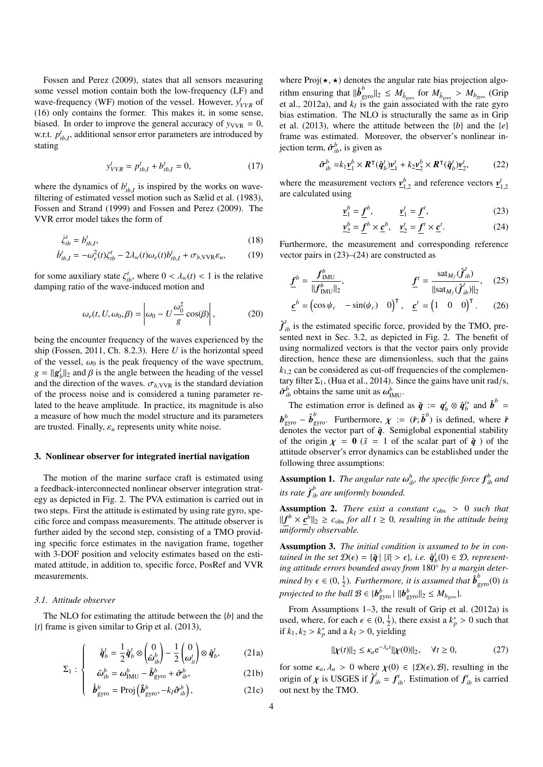[Fossen and Perez](#page-15-17) [\(2009\)](#page-15-17), states that all sensors measuring some vessel motion contain both the low-frequency (LF) and wave-frequency (WF) motion of the vessel. However,  $y_{VVR}^t$  of [\(16\)](#page-2-3) only contains the former. This makes it, in some sense, biased. In order to improve the general accuracy of  $y_{VVR} = 0$ , w.r.t.  $p_{th,I}^t$ , additional sensor error parameters are introduced by stating stating

$$
y_{VVR}^t = p_{tb,I}^t + b_{tb,I}^t = 0,\t\t(17)
$$

where the dynamics of  $b_{th}^t$  is inspired by the works on wave-filtering of estimated vessel motion such as [Sælid et al.](#page-15-18) [\(1983\)](#page-15-18), [Fossen and Strand](#page-15-19) [\(1999\)](#page-15-19) and [Fossen and Perez](#page-15-17) [\(2009\)](#page-15-17). The VVR error model takes the form of

$$
\dot{\zeta}_{tb}^t = b_{tb,I}^t,\tag{18}
$$

$$
\dot{b}_{tb,I}^t = -\omega_e^2(t)\zeta_{tb}^t - 2\lambda_w(t)\omega_e(t)b_{tb,I}^t + \sigma_{b,\text{VVR}}\varepsilon_u,\tag{19}
$$

for some auxiliary state  $\zeta_{t}^{t}$ , where  $0 < \lambda_{w}(t) < 1$  is the relative damping ratio of the wave-induced motion and damping ratio of the wave-induced motion and

$$
\omega_e(t, U, \omega_0, \beta) = \left| \omega_0 - U \frac{\omega_0^2}{g} \cos(\beta) \right|, \tag{20}
$$

being the encounter frequency of the waves experienced by the ship [\(Fossen, 2011,](#page-15-12) Ch. 8.2.3). Here *U* is the horizontal speed of the vessel,  $\omega_0$  is the peak frequency of the wave spectrum, *g* =  $||g_b^t||_2$  and  $\beta$  is the angle between the heading of the vessel<br>and the direction of the waves  $\sigma$  van is the standard deviation and the direction of the waves.  $\sigma_{b,VVR}$  is the standard deviation of the process noise and is considered a tuning parameter related to the heave amplitude. In practice, its magnitude is also a measure of how much the model structure and its parameters are trusted. Finally,  $\varepsilon_u$  represents unity white noise.

# <span id="page-3-7"></span>3. Nonlinear observer for integrated inertial navigation

The motion of the marine surface craft is estimated using a feedback-interconnected nonlinear observer integration strategy as depicted in Fig. [2.](#page-4-0) The PVA estimation is carried out in two steps. First the attitude is estimated by using rate gyro, specific force and compass measurements. The attitude observer is further aided by the second step, consisting of a TMO providing specific force estimates in the navigation frame, together with 3-DOF position and velocity estimates based on the estimated attitude, in addition to, specific force, PosRef and VVR measurements.

#### *3.1. Attitude observer*

The NLO for estimating the attitude between the {*b*} and the {*t*} frame is given similar to [Grip et al.](#page-15-6) [\(2013\)](#page-15-6),

$$
\Sigma_1 : \begin{cases} \dot{\hat{\mathbf{q}}}_b^t = \frac{1}{2} \hat{\mathbf{q}}_b^t \otimes \begin{pmatrix} 0 \\ \hat{\omega}_{ib}^b \end{pmatrix} - \frac{1}{2} \begin{pmatrix} 0 \\ \omega_{ii}^t \end{pmatrix} \otimes \hat{\mathbf{q}}_b^t, \end{cases}
$$
 (21a)  

$$
\Sigma_1 : \begin{cases} \hat{\omega}_b^b = \omega_{ab}^b - \hat{\mathbf{p}}^b + \hat{\mathbf{q}}_b^b \end{cases}
$$
 (21b)

$$
\Sigma_1: \begin{cases}\n\hat{\omega}_{ib}^b = \omega_{\text{IMU}}^b - \hat{\boldsymbol{b}}_{\text{gyro}}^b + \hat{\sigma}_{ib}^b, \\
\hat{\boldsymbol{b}}_{\text{gyro}}^b = \text{Proj}\left(\hat{\boldsymbol{b}}_{\text{gyro}}^b, -k_i\hat{\sigma}_{ib}^b\right),\n\end{cases} (21b)
$$

$$
\left(\dot{\boldsymbol{b}}_{\text{gyro}}^{b} = \text{Proj}\left(\hat{\boldsymbol{b}}_{\text{gyro}}^{b}, -k_{I}\hat{\boldsymbol{\sigma}}_{ib}^{b}\right),\right)
$$
 (21c)

where  $Proj(\star, \star)$  denotes the angular rate bias projection algorithm ensuring that  $\|\hat{b}^b_{\text{gyro}}\|_2 \leq M_{\hat{b}_{\text{gyro}}}$  for  $M_{\hat{b}_{\text{gyro}}} > M_{b_{\text{gyro}}}$  [\(Grip](#page-15-9) et al. 2012a) and  $k_i$  is the gain associated with the rate gyro [et al., 2012a\)](#page-15-9), and  $k_I$  is the gain associated with the rate gyro bias estimation. The NLO is structurally the same as in [Grip](#page-15-6) [et al.](#page-15-6) [\(2013\)](#page-15-6), where the attitude between the {*b*} and the {*e*} frame was estimated. Moreover, the observer's nonlinear injection term,  $\hat{\sigma}_{ib}^b$ , is given as

$$
\hat{\sigma}_{ib}^b = k_1 \underline{\mathbf{v}}_1^b \times \mathbf{R}^\mathsf{T}(\hat{\boldsymbol{q}}_b^t) \underline{\mathbf{v}}_1^t + k_2 \underline{\mathbf{v}}_2^b \times \mathbf{R}^\mathsf{T}(\hat{\boldsymbol{q}}_b^t) \underline{\mathbf{v}}_2^t,\tag{22}
$$

where the measurement vectors  $\underline{v}_{1,2}^b$  and reference vectors  $\underline{v}_{1,2}^t$ <br>are calculated using are calculated using

<span id="page-3-0"></span>
$$
\underline{\mathbf{v}}_1^b = \underline{\mathbf{f}}_1^b, \qquad \underline{\mathbf{v}}_1^t = \underline{\mathbf{f}}_1^t,\tag{23}
$$

<span id="page-3-1"></span>
$$
\underline{\mathbf{v}}_2^b = \underline{\mathbf{f}}^b \times \underline{\mathbf{c}}^b, \quad \underline{\mathbf{v}}_2^t = \underline{\mathbf{f}}^t \times \underline{\mathbf{c}}^t. \tag{24}
$$

<span id="page-3-6"></span><span id="page-3-5"></span>Furthermore, the measurement and corresponding reference vector pairs in [\(23\)](#page-3-0)–[\(24\)](#page-3-1) are constructed as

$$
\underline{f}^{b} = \frac{f_{\text{IMU}}^{b}}{||f_{\text{IMU}}^{b}||_{2}}, \qquad \underline{f}^{t} = \frac{\text{sat}_{M_f}(\hat{f}_{ib}^{t})}{||\text{sat}_{M_f}(\hat{f}_{ib}^{t})||_{2}}, \quad (25)
$$

$$
\underline{\mathbf{c}}^b = \begin{pmatrix} \cos \psi_c & -\sin(\psi_c) & 0 \end{pmatrix}^\mathsf{T}, \quad \underline{\mathbf{c}}^t = \begin{pmatrix} 1 & 0 & 0 \end{pmatrix}^\mathsf{T}.
$$
 (26)

 $\hat{f}^t_{ib}$  is the estimated specific force, provided by the TMO, presented next in Sec. [3.2,](#page-4-1) as depicted in Fig. [2.](#page-4-0) The benefit of using normalized vectors is that the vector pairs only provide direction, hence these are dimensionless, such that the gains  $k_{1,2}$  can be considered as cut-off frequencies of the complementary filter  $\Sigma_1$ , [\(Hua et al., 2014\)](#page-15-20). Since the gains have unit rad/s,  $\hat{\sigma}_{ib}^b$  obtains the same unit as  $\omega_{IMU}^b$ .

The estimation error is defined as  $\tilde{q} := q_b^t \otimes \hat{q}_b^{t*}$  and  $\tilde{b}^b =$  $b_{\text{gyro}}^b - \hat{b}_{\text{gyro}}^b$ . Furthermore,  $\chi := (\tilde{r}; \tilde{b}^b)$  is defined, where  $\tilde{r}$  denotes the vector part of  $\tilde{a}$ . Semiglobal exponential stability denotes the vector part of  $\tilde{q}$ . Semiglobal exponential stability of the origin  $\chi = 0$  ( $\tilde{s} = 1$  of the scalar part of  $\tilde{q}$ ) of the attitude observer's error dynamics can be established under the following three assumptions:

<span id="page-3-2"></span>**Assumption 1.** *The angular rate*  $\omega_{ib}^b$ *, the specific force*  $f_{ib}^b$  *and* its rate  $\dot{f}^b_{ib}$  are uniformly bounded.

<span id="page-3-4"></span>Assumption 2. *There exist a constant c*obs <sup>&</sup>gt; <sup>0</sup> *such that*  $|| f^b \times \underline{c}^b ||_2 \geq c_{obs}$  *for all t*  $\geq 0$ *, resulting in the attitude being uniformly observable.*

<span id="page-3-3"></span>Assumption 3. *The initial condition is assumed to be in contained in the set*  $\mathcal{D}(\epsilon) = {\{\tilde{\boldsymbol{q}} \mid |\tilde{s}| > \epsilon\}}$ , *i.e.*  $\hat{\boldsymbol{q}}_b^t(0) \in \mathcal{D}$ , represent-<br>ing attitude errors bounded away from 180° by a margin deter*ing attitude errors bounded away from* 180◦ *by a margin determined by*  $\epsilon \in (0, \frac{1}{2})$ *. Furthermore, it is assumed that*  $\hat{b}^b_{\text{gyro}}(0)$  *is projected to the ball*  $B \in \{b^b_{\text{gyro}} | ||b^b_{\text{gyro}}||_2 \leq M_{b_{\text{gyro}}}\}$ .

From Assumptions [1](#page-3-2)[–3,](#page-3-3) the result of [Grip et al.](#page-15-9) [\(2012a\)](#page-15-9) is used, where, for each  $\epsilon \in (0, \frac{1}{2})$ , there exsist a  $k_p^* > 0$  such that if  $k, k > k^*$  and a  $k > 0$  vielding if  $k_1, k_2 > k_p^*$  and a  $k_I > 0$ , yielding

$$
\|\chi(t)\|_2 \le \kappa_a e^{-\lambda_a t} \|\chi(0)\|_2, \quad \forall t \ge 0,
$$
 (27)

for some  $\kappa_a, \lambda_a > 0$  where  $\chi(0) \in \{\mathcal{D}(\epsilon), \mathcal{B}\}\)$ , resulting in the origin of  $\chi$  is USGES if  $\hat{f}_{ib}^t = f_{ib}^t$ . Estimation of  $f_{ib}^t$  is carried out next by the TMO out next by the TMO.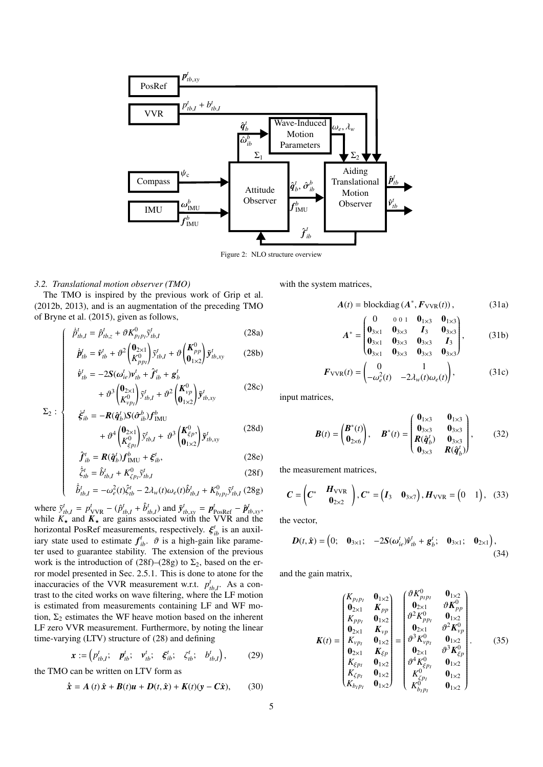<span id="page-4-0"></span>

Figure 2: NLO structure overview

# <span id="page-4-1"></span>*3.2. Translational motion observer (TMO)*

The TMO is inspired by the previous work of [Grip et al.](#page-15-7) [\(2012b,](#page-15-7) [2013\)](#page-15-6), and is an augmentation of the preceding TMO of [Bryne et al.](#page-15-5) [\(2015\)](#page-15-5), given as follows,

$$
\hat{\beta}_{tb,I}^t = \hat{p}_{tb,z}^t + \vartheta K_{p_I p_I}^0 \tilde{y}_{tb,I}^t
$$
\n(28a)

$$
\dot{\mathbf{p}}_{tb}^t = \hat{\mathbf{p}}_{tb}^t + \vartheta^2 \begin{pmatrix} \mathbf{0}_{2\times 1} \\ K_{pp_l}^0 \end{pmatrix} \tilde{\mathbf{y}}_{tb,I}^t + \vartheta \begin{pmatrix} \mathbf{K}_{pp}^0 \\ \mathbf{0}_{1\times 2} \end{pmatrix} \tilde{\mathbf{y}}_{tb,xy}^t
$$
 (28b)

$$
\hat{p}_{tb,l}^{t} = \hat{v}_{tb}^{t} + \vartheta^{2} \begin{pmatrix} \mathbf{0}_{2\times 1} \\ K_{p_{p_l}}^{0} \end{pmatrix} \tilde{y}_{tb,l}^{t} + \vartheta \begin{pmatrix} K_{pp}^{0} \\ \mathbf{0}_{1\times 2} \end{pmatrix} \tilde{y}_{tb,xy}^{t} \tag{28b}
$$
\n
$$
\hat{v}_{tb}^{t} = -2\mathbf{S}(\omega_{te}^{t})v_{tb}^{t} + \hat{f}_{tb}^{t} + \mathbf{g}_{b}^{t}
$$
\n
$$
+ \vartheta^{3} \begin{pmatrix} \mathbf{0}_{2\times 1} \\ K_{p_{p_l}}^{0} \end{pmatrix} \tilde{y}_{tb,l}^{t} + \vartheta^{2} \begin{pmatrix} K_{vp}^{0} \\ \mathbf{0}_{1\times 2} \end{pmatrix} \tilde{y}_{tb,xy}^{t} \tag{28c}
$$
\n
$$
\hat{f}_{cs}^{t} = -R(\hat{\sigma}_{cs}^{t})S(\hat{\sigma}_{cs}^{b})f_{cs}^{b}.
$$

<span id="page-4-2"></span>
$$
\Sigma_{2}: \begin{cases}\n\dot{\xi}_{ib}^{t} = -R(\hat{q}_{b}^{t})S(\hat{\sigma}_{ib}^{b})f_{\text{IMU}}^{b} \\
+ \vartheta^{4} \begin{pmatrix} \mathbf{0}_{2\times 1} \\ K_{\xi p_{I}}^{0} \end{pmatrix} \tilde{y}_{tb,I}^{t} + \vartheta^{3} \begin{pmatrix} K_{\xi p}^{0} \\ \mathbf{0}_{1\times 2} \end{pmatrix} \tilde{y}_{tb,xy}^{t} \\
\hat{f}_{ib}^{t} = R(\hat{q}_{b}^{t})f_{\text{IMU}}^{b} + \xi_{ib}^{t}, \\
\hat{\xi}_{ib}^{t} = \hat{b}_{tb,I}^{t} + K_{\xi p_{I}}^{0} \tilde{y}_{tb,I}^{t} \\
\hat{b}_{tb,I}^{t} = -\omega_{e}^{2}(t)\hat{\xi}_{tb}^{t} - 2\lambda_{w}(t)\omega_{e}(t)\hat{b}_{tb,I}^{t} + K_{b_{I}p_{I}}^{0} \tilde{y}_{tb,I}^{t} (28g)\n\end{cases}
$$
\n(28f)

$$
\hat{\mathbf{f}}_{ib}^{t} = \mathbf{R}(\hat{\mathbf{q}}_b^t) \mathbf{f}_{\text{IMU}}^p + \mathbf{\xi}_{ib}^t,
$$
\n
$$
\dot{\hat{\mathbf{g}}}_{tb}^t = \hat{b}_{tb,I}^t + K_{\zeta p_I}^0 \tilde{\mathbf{y}}_{tb,I}^t
$$
\n(28f)

$$
\dot{\hat{b}}_{tb,I}^t = -\omega_e^2(t)\hat{\xi}_{tb}^t - 2\lambda_w(t)\omega_e(t)\hat{b}_{tb,I}^t + K_{b_I p_I}^0 \tilde{y}_{tb,I}^t (28g)
$$

where  $\tilde{y}_{tb,I}^t = p_{VVR}^t - (\hat{p}_{tb,I}^t + \hat{b}_{tb,I}^t)$  and  $\tilde{y}_{tb,xy}^t = p_{\text{posRef}}^t - \hat{p}_{tb,xy}^t$ <br>while K, and K, are gains associated with the VVR and the while  $K_{\star}$  and  $K_{\star}$  are gains associated with the VVR and the horizontal DecRef measurements recreatively  $f^{\dagger}$  is an avail horizontal PosRef measurements, respectively.  $\xi_{ib}^t$  is an auxil-<br>iary state used to estimate  $f^t = \hat{\beta}$  is a high-gain like parameiary state used to estimate  $f_{ib}^t$ .  $\vartheta$  is a high-gain like parameter used to guarantee stability. The extension of the previous work is the introduction of [\(28f\)](#page-4-2)–[\(28g\)](#page-4-2) to  $\Sigma_2$ , based on the error model presented in Sec. [2.5.1.](#page-2-4) This is done to atone for the inaccuracies of the VVR measurement w.r.t.  $p_{th}^t$ . As a contrast to the cited works on wave filtering, where the LF motion is estimated from measurements containing LF and WF motion,  $\Sigma_2$  estimates the WF heave motion based on the inherent LF zero VVR measurement. Furthermore, by noting the linear time-varying (LTV) structure of [\(28\)](#page-4-1) and defining

$$
\boldsymbol{x} := \left( p_{tb,l}^t; \quad \boldsymbol{p}_{tb}^t; \quad \boldsymbol{v}_{tb}^t; \quad \boldsymbol{\xi}_{tb}^t; \quad \boldsymbol{\zeta}_{tb}^t; \quad b_{tb,l}^t \right), \tag{29}
$$

the TMO can be written on LTV form as

$$
\dot{\hat{\mathbf{x}}} = A(t)\hat{\mathbf{x}} + B(t)\mathbf{u} + D(t,\hat{\mathbf{x}}) + K(t)(\mathbf{y} - C\hat{\mathbf{x}}), \quad (30)
$$

with the system matrices,

$$
A(t) = \text{blockdiag}(A^*, F_{\text{VVR}}(t)), \tag{31a}
$$

$$
A^* = \begin{pmatrix} 0 & 0 & 0 & 1 & \mathbf{0}_{1 \times 3} & \mathbf{0}_{1 \times 3} \\ \mathbf{0}_{3 \times 1} & \mathbf{0}_{3 \times 3} & \mathbf{I}_3 & \mathbf{0}_{3 \times 3} \\ \mathbf{0}_{3 \times 1} & \mathbf{0}_{3 \times 3} & \mathbf{0}_{3 \times 3} & \mathbf{I}_3 \\ \mathbf{0}_{3 \times 1} & \mathbf{0}_{3 \times 3} & \mathbf{0}_{3 \times 3} & \mathbf{0}_{3 \times 3} \end{pmatrix}, \quad (31b)
$$

$$
\boldsymbol{F}_{\text{VVR}}(t) = \begin{pmatrix} 0 & 1 \\ -\omega_e^2(t) & -2\lambda_w(t)\omega_e(t) \end{pmatrix},\tag{31c}
$$

input matrices,

<span id="page-4-5"></span>
$$
\boldsymbol{B}(t) = \begin{pmatrix} \boldsymbol{B}^*(t) \\ \boldsymbol{0}_{2\times6} \end{pmatrix}, \quad \boldsymbol{B}^*(t) = \begin{pmatrix} \boldsymbol{0}_{1\times3} & \boldsymbol{0}_{1\times3} \\ \boldsymbol{0}_{3\times3} & \boldsymbol{0}_{3\times3} \\ \boldsymbol{R}(\hat{\boldsymbol{q}}_b^t) & \boldsymbol{0}_{3\times3} \\ \boldsymbol{0}_{3\times3} & \boldsymbol{R}(\hat{\boldsymbol{q}}_b^t) \end{pmatrix}, \tag{32}
$$

the measurement matrices,

$$
\boldsymbol{C} = \begin{pmatrix} \boldsymbol{C}^* & \boldsymbol{H}_{\text{VVR}} \\ \boldsymbol{0}_{2\times 2} & \end{pmatrix}, \boldsymbol{C}^* = \begin{pmatrix} \boldsymbol{I}_3 & \boldsymbol{0}_{3\times 7} \end{pmatrix}, \boldsymbol{H}_{\text{VVR}} = \begin{pmatrix} 0 & 1 \end{pmatrix}, \tag{33}
$$

the vector,

$$
\boldsymbol{D}(t,\hat{\boldsymbol{x}}) = \begin{pmatrix} 0; & \boldsymbol{0}_{3\times 1}; & -2\boldsymbol{S}(\boldsymbol{\omega}_{ie}^t)\hat{\boldsymbol{v}}_{ib}^t + \boldsymbol{g}_b^t; & \boldsymbol{0}_{3\times 1}; & \boldsymbol{0}_{2\times 1} \end{pmatrix},\tag{34}
$$

and the gain matrix,

<span id="page-4-4"></span><span id="page-4-3"></span>
$$
K(t) = \begin{pmatrix} K_{p_1p_1} & \mathbf{0}_{1\times 2} \\ \mathbf{0}_{2\times 1} & K_{pp} \\ K_{pp_1} & \mathbf{0}_{1\times 2} \\ \mathbf{0}_{2\times 1} & K_{vp} \\ K_{vp_1} & \mathbf{0}_{1\times 2} \\ \mathbf{0}_{2\times 1} & K_{\xi p} \\ \mathbf{0}_{2\times 1} & K_{\xi p} \\ K_{\xi p_1} & \mathbf{0}_{1\times 2} \\ K_{\xi p_1} & \mathbf{0}_{1\times 2} \\ K_{\xi p_1} & \mathbf{0}_{1\times 2} \\ K_{\xi p_1} & \mathbf{0}_{1\times 2} \\ K_{\xi p_1} & \mathbf{0}_{1\times 2} \end{pmatrix} = \begin{pmatrix} \vartheta K_{p_1p_1}^0 & \mathbf{0}_{1\times 2} \\ \vartheta_{2\times 1}^1 & \vartheta K_{pp}^0 \\ \vartheta_{2\times 1}^2 & \vartheta_{2\times 2}^2 \\ \vartheta_{2\times 1}^3 & \vartheta_{2\times 2}^3 \\ \vartheta_{2\times 1}^4 & \vartheta_{2\times 2}^3 \\ \vartheta_{2\times 1}^4 & \vartheta_{2\times 2}^3 \\ \vartheta_{2\times 1}^4 & \vartheta_{2\times 2}^3 \\ \vartheta_{2\times 1}^4 & \vartheta_{2\times 2}^1 \\ \vartheta_{2\times 1}^5 & \mathbf{0}_{1\times 2} \\ K_{\xi p_1}^0 & \mathbf{0}_{1\times 2} \end{pmatrix} . \tag{35}
$$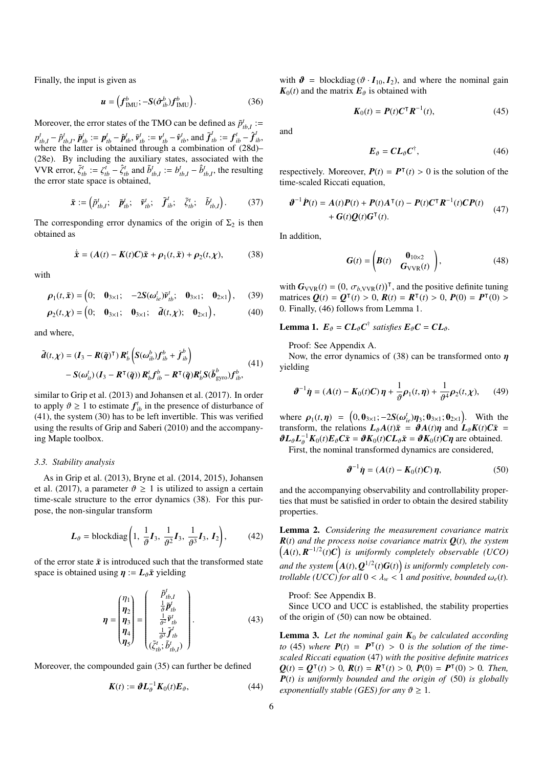Finally, the input is given as

$$
\mathbf{u} = \left( \boldsymbol{f}_{\text{IMU}}^{b}; -\mathbf{S}(\hat{\boldsymbol{\sigma}}_{ib}^{b}) \boldsymbol{f}_{\text{IMU}}^{b} \right). \tag{36}
$$

Moreover, the error states of the TMO can be defined as  $\tilde{p}^t_{th}$  :=  $p_{tb,I}^t - \hat{p}_{tb,I}^t$ ,  $\tilde{p}_{tb}^t := p_{tb}^t - \hat{p}_{tb}^t$ ,  $\tilde{v}_{tb}^t := v_{tb}^t - \hat{v}_{tb}^t$ , and  $\tilde{f}_{tb}^t := f_{tb}^t - \hat{f}_{tb}^t$ ,<br>where the latter is obtained through a combination of (28d) where the latter is obtained through a combination of [\(28d\)](#page-4-2)– [\(28e\)](#page-4-2). By including the auxiliary states, associated with the VVR error,  $\tilde{\zeta}_{tb}^t := \zeta_{tb}^t - \hat{\zeta}_{tb}^t$  and  $\tilde{b}_{tb,I}^t := b_{tb,I}^t - \hat{b}_{tb,I}^t$ , the resulting the error state space is obtained the error state space is obtained,

$$
\tilde{\boldsymbol{x}} := \left( \tilde{p}_{tb,I}^t; \quad \tilde{p}_{tb}^t; \quad \tilde{v}_{tb}^t; \quad \tilde{f}_{ib}^t; \quad \tilde{\zeta}_{tb}^t; \quad \tilde{b}_{tb,I}^t \right). \tag{37}
$$

The corresponding error dynamics of the origin of  $\Sigma_2$  is then obtained as

$$
\dot{\tilde{\boldsymbol{x}}} = (A(t) - K(t)\boldsymbol{C})\tilde{\boldsymbol{x}} + \rho_1(t,\tilde{\boldsymbol{x}}) + \rho_2(t,\chi),
$$
 (38)

with

$$
\boldsymbol{\rho}_1(t,\tilde{\boldsymbol{x}}) = \begin{pmatrix} 0; & \boldsymbol{0}_{3\times 1}; & -2\boldsymbol{S}(\boldsymbol{\omega}_{ie}^t)\tilde{\boldsymbol{\nu}}_{ib}^t; & \boldsymbol{0}_{3\times 1}; & \boldsymbol{0}_{2\times 1} \end{pmatrix}, \qquad (39)
$$

$$
\boldsymbol{\rho}_2(t,\boldsymbol{\chi}) = \begin{pmatrix} 0; & \mathbf{0}_{3\times 1}; & \mathbf{0}_{3\times 1}; & \tilde{\boldsymbol{d}}(t,\boldsymbol{\chi}); & \mathbf{0}_{2\times 1} \end{pmatrix},\tag{40}
$$

and where,

$$
\tilde{d}(t,\chi) = (\mathbf{I}_3 - \mathbf{R}(\tilde{\boldsymbol{q}})^{\mathsf{T}}) \mathbf{R}_b^t \left( \mathbf{S}(\omega_{ib}^b) \mathbf{f}_{ib}^b + \dot{\mathbf{f}}_{ib}^b \right) - \mathbf{S}(\omega_{it}^t) \left( \mathbf{I}_3 - \mathbf{R}^{\mathsf{T}}(\tilde{\boldsymbol{q}}) \right) \mathbf{R}_b^t \mathbf{f}_{ib}^b - \mathbf{R}^{\mathsf{T}}(\tilde{\boldsymbol{q}}) \mathbf{R}_b^t \mathbf{S}(\tilde{\boldsymbol{b}}_{\text{gyro}}^b) \mathbf{f}_{ib}^b,
$$
\n(41)

similar to [Grip et al.](#page-15-6) [\(2013\)](#page-15-6) and [Johansen et al.](#page-15-21) [\(2017\)](#page-15-21). In order to apply  $\vartheta \ge 1$  to estimate  $f'_{ib}$  in the presence of disturbance of (41) the system (30) has to be left invertible. This was verified [\(41\)](#page-5-0), the system [\(30\)](#page-4-3) has to be left invertible. This was verified using the results of [Grip and Saberi](#page-15-22) [\(2010\)](#page-15-22) and the accompanying Maple toolbox.

# *3.3. Stability analysis*

As in [Grip et al.](#page-15-6) [\(2013\)](#page-15-6), [Bryne et al.](#page-15-4) [\(2014,](#page-15-4) [2015\)](#page-15-5), [Johansen](#page-15-21) [et al.](#page-15-21) [\(2017\)](#page-15-21), a parameter  $\vartheta \ge 1$  is utilized to assign a certain time-scale structure to the error dynamics [\(38\)](#page-5-1). For this purpose, the non-singular transform

$$
L_{\theta} = \text{blockdiag}\left(1, \frac{1}{\vartheta}\boldsymbol{I}_3, \frac{1}{\vartheta^2}\boldsymbol{I}_3, \frac{1}{\vartheta^3}\boldsymbol{I}_3, \boldsymbol{I}_2\right),\qquad(42)
$$

of the error state  $\tilde{x}$  is introduced such that the transformed state space is obtained using  $\eta := L_{\theta} \tilde{x}$  yielding

$$
\boldsymbol{\eta} = \begin{pmatrix} \eta_1 \\ \eta_2 \\ \eta_3 \\ \eta_4 \\ \eta_5 \end{pmatrix} = \begin{pmatrix} \tilde{P}_{tb,I}^t \\ \frac{1}{\vartheta} \tilde{P}_{tb}' \\ \frac{1}{\vartheta^2} \tilde{V}_{tb}' \\ \frac{1}{\vartheta^3} \tilde{J}_{tb}' \\ (\tilde{\zeta}_{tb}^t; \tilde{b}_{tb,I}^t) \end{pmatrix} . \tag{43}
$$

Moreover, the compounded gain [\(35\)](#page-4-4) can further be defined

$$
\mathbf{K}(t) := \boldsymbol{\vartheta} \mathbf{L}_{\boldsymbol{\vartheta}}^{-1} \mathbf{K}_0(t) \mathbf{E}_{\boldsymbol{\vartheta}},
$$
(44)

with  $\mathbf{\hat{v}} = \text{blockdiag}(\mathbf{\hat{v}} \cdot \mathbf{I}_{10}, \mathbf{I}_{2})$ , and where the nominal gain  $K_0(t)$  and the matrix  $E_{\vartheta}$  is obtained with

$$
\boldsymbol{K}_0(t) = \boldsymbol{P}(t)\boldsymbol{C}^\mathsf{T}\boldsymbol{R}^{-1}(t),\tag{45}
$$

and

<span id="page-5-6"></span><span id="page-5-5"></span><span id="page-5-2"></span>
$$
E_{\vartheta} = CL_{\vartheta} C^{\dagger}, \qquad (46)
$$

respectively. Moreover,  $P(t) = P^{T}(t) > 0$  is the solution of the time-scaled Riccati equation time-scaled Riccati equation,

$$
\mathbf{\mathcal{B}}^{-1}\dot{\mathbf{P}}(t) = \mathbf{A}(t)\mathbf{P}(t) + \mathbf{P}(t)\mathbf{A}^{\mathsf{T}}(t) - \mathbf{P}(t)\mathbf{C}^{\mathsf{T}}\mathbf{R}^{-1}(t)\mathbf{C}\mathbf{P}(t) \n+ \mathbf{G}(t)\mathbf{Q}(t)\mathbf{G}^{\mathsf{T}}(t).
$$
\n(47)

<span id="page-5-1"></span>In addition,

$$
\boldsymbol{G}(t) = \begin{pmatrix} \boldsymbol{B}(t) & \boldsymbol{0}_{10 \times 2} \\ \boldsymbol{G}_{\text{VVR}}(t) \end{pmatrix},\tag{48}
$$

with  $G_{VVR}(t) = (0, \sigma_{b, VVR}(t))^T$ , and the positive definite tuning<br>matrices  $Q(t) = Q^{T}(t) > 0$ ,  $R(t) = R^{T}(t) > 0$ ,  $P(0) = P^{T}(0) > 0$ matrices  $Q(t) = Q^{T}(t) > 0$ ,  $R(t) = R^{T}(t) > 0$ ,  $P(0) = P^{T}(0) > 0$ . Finally (46) follows from I emma 1 0. Finally, [\(46\)](#page-5-2) follows from Lemma [1.](#page-5-3)

<span id="page-5-3"></span>**Lemma 1.**  $E_{\theta} = CL_{\theta}C^{\dagger}$  *satisfies*  $E_{\theta}C = CL_{\theta}$ .

Proof: See [Appendix A.](#page-12-0)

<span id="page-5-0"></span>Now, the error dynamics of [\(38\)](#page-5-1) can be transformed onto  $\eta$ yielding

$$
\boldsymbol{\vartheta}^{-1}\boldsymbol{\eta} = (A(t) - K_0(t)C)\,\boldsymbol{\eta} + \frac{1}{\vartheta}\boldsymbol{\rho}_1(t,\boldsymbol{\eta}) + \frac{1}{\vartheta^4}\boldsymbol{\rho}_2(t,\boldsymbol{\chi}),\qquad(49)
$$

where  $\rho_1(t, \eta) = (0, 0_{3 \times 1}; -2S(\omega_{ie}^t)\eta_3; 0_{3 \times 1}; 0_{2 \times 1})$ . With the transform the relations  $I_0 A(t) \tilde{r} = \partial A(t) \eta$  and  $I_0 K(t) C \tilde{r} =$ transform, the relations  $L_{\theta}A(t)\tilde{x} = \theta A(t)\eta$  and  $L_{\theta}K(t)C\tilde{x} =$  $\partial L_{\theta}L_{\theta}^{-1}K_0(t)E_{\theta}C\tilde{x} = \partial K_0(t)CL_{\theta}\tilde{x} = \partial K_0(t)C\eta$  are obtained.<br>First, the nominal transformed dynamics are considered.

First, the nominal transformed dynamics are considered,

<span id="page-5-4"></span>
$$
\boldsymbol{\vartheta}^{-1}\dot{\boldsymbol{\eta}} = (A(t) - \boldsymbol{K}_0(t)\boldsymbol{C})\boldsymbol{\eta},\tag{50}
$$

and the accompanying observability and controllability properties that must be satisfied in order to obtain the desired stability properties.

<span id="page-5-8"></span>Lemma 2. *Considering the measurement covariance matrix*  $A(t), \mathbf{R}^{-1/2}(t)C$  is uniformly completely observable (UCO) *R*(*t*) *and the process noise covariance matrix Q*(*t*)*, the system and the system*  $(A(t), Q^{1/2}(t)G(t))$  *is uniformly completely controllable (UCC)* for all  $0 < \lambda < 1$  and positive hounded  $\omega(t)$ *trollable (UCC) for all*  $0 < \lambda_w < 1$  *and positive, bounded*  $\omega_e(t)$ *.* 

Proof: See [Appendix B.](#page-12-1)

Since UCO and UCC is established, the stability properties of the origin of [\(50\)](#page-5-4) can now be obtained.

<span id="page-5-9"></span><span id="page-5-7"></span>**Lemma 3.** Let the nominal gain  $K_0$  be calculated according *to* [\(45\)](#page-5-5) where  $P(t) = P<sup>T</sup>(t) > 0$  *is the solution of the time-*<br>scaled Riccati equation (47) with the positive definite matrices *scaled Riccati equation* [\(47\)](#page-5-6) *with the positive definite matrices*  $Q(t) = Q^{\mathsf{T}}(t) > 0$ ,  $R(t) = R^{\mathsf{T}}(t) > 0$ ,  $P(0) = P^{\mathsf{T}}(0) > 0$ . Then,<br> $P(t)$  is uniformly bounded and the origin of (50) is globally *P*(*t*) *is uniformly bounded and the origin of* [\(50\)](#page-5-4) *is globally exponentially stable (GES) for any*  $\vartheta \geq 1$ *.*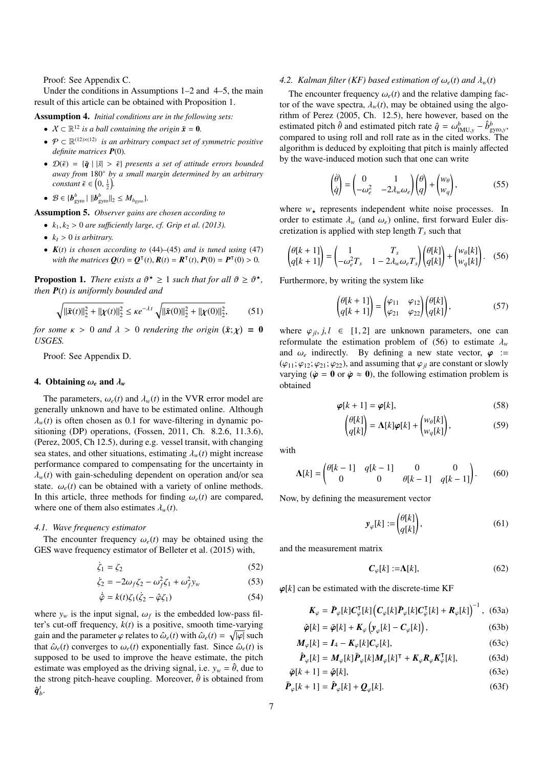Proof: See [Appendix C.](#page-14-0)

Under the conditions in Assumptions [1–](#page-3-2)[2](#page-3-4) and [4](#page-6-0)[–5,](#page-6-1) the main result of this article can be obtained with Proposition [1.](#page-6-2)

<span id="page-6-0"></span>Assumption 4. *Initial conditions are in the following sets:*

- $X \subset \mathbb{R}^{12}$  *is a ball containing the origin*  $\tilde{x} = 0$ *.*
- $P \subset \mathbb{R}^{(12)\times(12)}$  *is an arbitrary compact set of symmetric positive definite matrices P*(0)*.*
- $\mathcal{D}(\bar{\epsilon}) = {\{\tilde{q} \mid |\tilde{s}| > \bar{\epsilon}\} }$  *presents a set of attitude errors bounded away from* 180◦ *by a small margin determined by an arbitrary constant*  $\bar{\epsilon} \in \left(0, \frac{1}{2}\right)$ .
- $\mathcal{B} \in \{b^b_{\text{gyro}} \mid ||b^b_{\text{gyro}}||_2 \leq M_{b_{\text{gyro}}}\}.$

<span id="page-6-1"></span>Assumption 5. *Observer gains are chosen according to*

- $k_1, k_2 > 0$  *are sufficiently large, cf. [Grip et al.](#page-15-6)* [\(2013\)](#page-15-6).
- $k_I > 0$  *is arbitrary.*
- $K(t)$  *is chosen according to* [\(44\)](#page-5-7)–[\(45\)](#page-5-5) *and is tuned using* [\(47\)](#page-5-6) *with the matrices*  $Q(t) = Q^{T}(t), R(t) = R^{T}(t), P(0) = P^{T}(0) > 0.$

<span id="page-6-2"></span>**Propostion 1.** *There exists a*  $\vartheta^* \ge 1$  *such that for all*  $\vartheta \ge \vartheta^*$ , then **P**(t) is uniformly bounded and *then P*(*t*) *is uniformly bounded and*

$$
\sqrt{\|\tilde{\mathbf{x}}(t)\|_{2}^{2} + \|\chi(t)\|_{2}^{2}} \le \kappa e^{-\lambda t} \sqrt{\|\tilde{\mathbf{x}}(0)\|_{2}^{2} + \|\chi(0)\|_{2}^{2}},
$$
 (51)

*for some*  $\kappa > 0$  *and*  $\lambda > 0$  *rendering the origin*  $(\tilde{x}; \chi) = 0$ <br>*IISGES USGES.*

Proof: See [Appendix D.](#page-14-1)

# 4. Obtaining  $\omega_e$  and  $\lambda_w$

The parameters,  $\omega_e(t)$  and  $\lambda_w(t)$  in the VVR error model are generally unknown and have to be estimated online. Although  $\lambda_w(t)$  is often chosen as 0.1 for wave-filtering in dynamic positioning (DP) operations, [\(Fossen, 2011,](#page-15-12) Ch. 8.2.6, 11.3.6), [\(Perez, 2005,](#page-15-23) Ch 12.5), during e.g. vessel transit, with changing sea states, and other situations, estimating  $\lambda_w(t)$  might increase performance compared to compensating for the uncertainty in  $\lambda_w(t)$  with gain-scheduling dependent on operation and/or sea state.  $\omega_e(t)$  can be obtained with a variety of online methods. In this article, three methods for finding  $\omega_e(t)$  are compared, where one of them also estimates  $\lambda_w(t)$ .

#### <span id="page-6-5"></span>*4.1. Wave frequency estimator*

The encounter frequency  $\omega_e(t)$  may be obtained using the GES wave frequency estimator of [Belleter et al.](#page-15-24) [\(2015\)](#page-15-24) with,

$$
\dot{\zeta}_1 = \zeta_2 \tag{52}
$$

$$
\dot{\zeta}_2 = -2\omega_f \zeta_2 - \omega_f^2 \zeta_1 + \omega_f^2 y_w \tag{53}
$$

$$
\dot{\hat{\varphi}} = k(t)\zeta_1(\dot{\zeta}_2 - \hat{\varphi}\zeta_1) \tag{54}
$$

where  $y_w$  is the input signal,  $\omega_f$  is the embedded low-pass filter's cut-off frequency,  $k(t)$  is a positive smooth time-varying ter's cut-off frequency, *k*(*t*) is a positive, smooth time-varying gain and the parameter  $\varphi$  relates to  $\hat{\omega}_e(t)$  with  $\hat{\omega}_e(t) = \sqrt{|\varphi|}$  such that  $\hat{\omega}_e(t)$  converges to  $\omega_e(t)$  exponentially fast. Since  $\hat{\omega}_e(t)$  is that  $\hat{\omega}_e(t)$  converges to  $\omega_e(t)$  exponentially fast. Since  $\hat{\omega}_e(t)$  is supposed to be used to improve the heave estimate, the pitch estimate was employed as the driving signal, i.e.  $y_w = \hat{\theta}$ , due to the strong pitch-heave coupling. Moreover,  $\hat{\theta}$  is obtained from  $\hat{\bm{q}}_b^t$ .

# <span id="page-6-6"></span>*4.2. Kalman filter (KF) based estimation of*  $\omega_e(t)$  *and*  $\lambda_w(t)$

The encounter frequency  $\omega_e(t)$  and the relative damping factor of the wave spectra,  $\lambda_w(t)$ , may be obtained using the algorithm of [Perez](#page-15-23) [\(2005,](#page-15-23) Ch. 12.5), here however, based on the estimated pitch  $\hat{\theta}$  and estimated pitch rate  $\hat{q} = \omega_{\text{IMU},y}^b - \hat{b}_{\text{gyro},y}^b$ <br>compared to using roll and roll rate as in the cited works. The compared to using roll and roll rate as in the cited works. The algorithm is deduced by exploiting that pitch is mainly affected by the wave-induced motion such that one can write

$$
\begin{pmatrix} \dot{\theta} \\ \dot{q} \end{pmatrix} = \begin{pmatrix} 0 & 1 \\ -\omega_e^2 & -2\lambda_w \omega_e \end{pmatrix} \begin{pmatrix} \theta \\ q \end{pmatrix} + \begin{pmatrix} w_\theta \\ w_q \end{pmatrix},
$$
(55)

where  $w_{\star}$  represents independent white noise processes. In order to estimate  $\lambda_w$  (and  $\omega_e$ ) online, first forward Euler discretization is applied with step length  $T<sub>s</sub>$  such that

$$
\begin{pmatrix} \theta[k+1] \\ q[k+1] \end{pmatrix} = \begin{pmatrix} 1 & T_s \\ -\omega_e^2 T_s & 1 - 2\lambda_w \omega_e T_s \end{pmatrix} \begin{pmatrix} \theta[k] \\ q[k] \end{pmatrix} + \begin{pmatrix} w_\theta[k] \\ w_q[k] \end{pmatrix}.
$$
 (56)

Furthermore, by writing the system like

<span id="page-6-3"></span>
$$
\begin{pmatrix} \theta[k+1] \\ q[k+1] \end{pmatrix} = \begin{pmatrix} \varphi_{11} & \varphi_{12} \\ \varphi_{21} & \varphi_{22} \end{pmatrix} \begin{pmatrix} \theta[k] \\ q[k] \end{pmatrix}, \tag{57}
$$

where  $\varphi_{jl}, j, l \in [1, 2]$  are unknown parameters, one can reformulate the estimation problem of [\(56\)](#page-6-3) to estimate  $\lambda_w$ and  $\omega_e$  indirectly. By defining a new state vector,  $\varphi$  :=  $(\varphi_{11}; \varphi_{12}; \varphi_{21}; \varphi_{22})$ , and assuming that  $\varphi_{il}$  are constant or slowly varying ( $\dot{\varphi} = 0$  or  $\dot{\varphi} \approx 0$ ), the following estimation problem is obtained

$$
\varphi[k+1] = \varphi[k],\tag{58}
$$

<span id="page-6-4"></span>
$$
\begin{pmatrix} \theta[k] \\ q[k] \end{pmatrix} = \Lambda[k]\varphi[k] + \begin{pmatrix} w_{\theta}[k] \\ w_q[k] \end{pmatrix},\tag{59}
$$

with

$$
\mathbf{\Lambda}[k] = \begin{pmatrix} \theta[k-1] & q[k-1] & 0 & 0 \\ 0 & 0 & \theta[k-1] & q[k-1] \end{pmatrix}.
$$
 (60)

Now, by defining the measurement vector

$$
\mathbf{y}_{\varphi}[k] := \begin{pmatrix} \theta[k] \\ q[k] \end{pmatrix},\tag{61}
$$

and the measurement matrix

$$
\mathbf{C}_{\varphi}[k] := \Lambda[k],\tag{62}
$$

 $\varphi[k]$  can be estimated with the discrete-time KF

$$
\boldsymbol{K}_{\varphi} = \bar{\boldsymbol{P}}_{\varphi}[k] \boldsymbol{C}_{\varphi}^{\mathsf{T}}[k] \left( \boldsymbol{C}_{\varphi}[k] \bar{\boldsymbol{P}}_{\varphi}[k] \boldsymbol{C}_{\varphi}^{\mathsf{T}}[k] + \boldsymbol{R}_{\varphi}[k] \right)^{-1}, \tag{63a}
$$

$$
\hat{\varphi}[k] = \bar{\varphi}[k] + K_{\varphi}\left(y_{\varphi}[k] - C_{\varphi}[k]\right),\tag{63b}
$$

$$
M_{\varphi}[k] = I_4 - K_{\varphi}[k]C_{\varphi}[k],\tag{63c}
$$

$$
\hat{P}_{\varphi}[k] = M_{\varphi}[k]\bar{P}_{\varphi}[k]M_{\varphi}[k]^{\mathsf{T}} + K_{\varphi}R_{\varphi}K_{\varphi}^{\mathsf{T}}[k],\tag{63d}
$$

$$
\bar{\varphi}[k+1] = \hat{\varphi}[k],\tag{63e}
$$

$$
\bar{\boldsymbol{P}}_{\varphi}[k+1] = \hat{\boldsymbol{P}}_{\varphi}[k] + \boldsymbol{Q}_{\varphi}[k].
$$
\n(63f)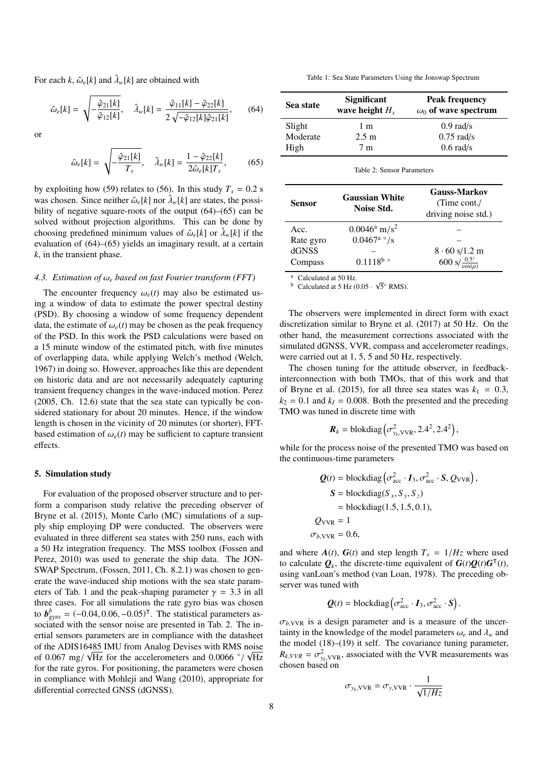For each *k*,  $\hat{\omega}_e[k]$  and  $\hat{\lambda}_w[k]$  are obtained with

$$
\hat{\omega}_e[k] = \sqrt{-\frac{\hat{\varphi}_{21}[k]}{\hat{\varphi}_{12}[k]}}, \quad \hat{\lambda}_w[k] = \frac{\hat{\varphi}_{11}[k] - \hat{\varphi}_{22}[k]}{2\sqrt{-\hat{\varphi}_{12}[k]\hat{\varphi}_{21}[k]}},\tag{64}
$$

or

$$
\hat{\omega}_e[k] = \sqrt{-\frac{\hat{\varphi}_{21}[k]}{T_s}}, \quad \hat{\lambda}_w[k] = \frac{1 - \hat{\varphi}_{22}[k]}{2\hat{\omega}_e[k]T_s},\tag{65}
$$

by exploiting how [\(59\)](#page-6-4) relates to [\(56\)](#page-6-3). In this study  $T_s = 0.2$  s was chosen. Since neither  $\hat{\omega}_e[k]$  nor  $\hat{\lambda}_w[k]$  are states, the possi-<br>bility of negative square-roots of the output (64)–(65) can be bility of negative square-roots of the output [\(64\)](#page-7-0)–[\(65\)](#page-7-1) can be solved without projection algorithms. This can be done by choosing predefined minimum values of  $\hat{\omega}_e[k]$  or  $\hat{\lambda}_w[k]$  if the evaluation of  $(64)$ – $(65)$  vields an imaginary result at a certain evaluation of [\(64\)](#page-7-0)–[\(65\)](#page-7-1) yields an imaginary result, at a certain *k*, in the transient phase.

### <span id="page-7-6"></span>*4.3. Estimation of* <sup>ω</sup>*<sup>e</sup> based on fast Fourier transform (FFT)*

The encounter frequency  $\omega_e(t)$  may also be estimated using a window of data to estimate the power spectral destiny (PSD). By choosing a window of some frequency dependent data, the estimate of  $\omega_e(t)$  may be chosen as the peak frequency of the PSD. In this work the PSD calculations were based on a 15 minute window of the estimated pitch, with five minutes of overlapping data, while applying Welch's method [\(Welch,](#page-15-25) [1967\)](#page-15-25) in doing so. However, approaches like this are dependent on historic data and are not necessarily adequately capturing transient frequency changes in the wave-induced motion. [Perez](#page-15-23) [\(2005,](#page-15-23) Ch. 12.6) state that the sea state can typically be considered stationary for about 20 minutes. Hence, if the window length is chosen in the vicinity of 20 minutes (or shorter), FFTbased estimation of  $\omega_e(t)$  may be sufficient to capture transient effects.

# 5. Simulation study

For evaluation of the proposed observer structure and to perform a comparison study relative the preceding observer of [Bryne et al.](#page-15-5) [\(2015\)](#page-15-5), Monte Carlo (MC) simulations of a supply ship employing DP were conducted. The observers were evaluated in three different sea states with 250 runs, each with a 50 Hz integration frequency. The MSS toolbox [\(Fossen and](#page-15-26) [Perez, 2010\)](#page-15-26) was used to generate the ship data. The JON-SWAP Spectrum, [\(Fossen, 2011,](#page-15-12) Ch. 8.2.1) was chosen to generate the wave-induced ship motions with the sea state param-eters of Tab. [1](#page-7-2) and the peak-shaping parameter  $\gamma = 3.3$  in all three cases. For all simulations the rate gyro bias was chosen to  $b_{\text{gyro}}^b = (-0.04, 0.06, -0.05)^T$ . The statistical parameters as-<br>sociated with the sensor poise are presented in Tab. 2. The insociated with the sensor noise are presented in Tab. [2.](#page-7-3) The inertial sensors parameters are in compliance with the datasheet of the ADIS16485 IMU from Analog Devises with RMS noise of 0.067 mg/ $\sqrt{Hz}$  for the accelerometers and 0.0066 °/ $\sqrt{Hz}$ <br>for the rate avroy. For positioning, the parameters were chosen for the rate gyros. For positioning, the parameters were chosen in compliance with [Mohleji and Wang](#page-15-27) [\(2010\)](#page-15-27), appropriate for differential corrected GNSS (dGNSS).

Table 1: Sea State Parameters Using the Jonswap Spectrum

<span id="page-7-2"></span><span id="page-7-0"></span>

| Sea state | <b>Significant</b><br>wave height $H_s$ | <b>Peak frequency</b><br>$\omega_0$ of wave spectrum |
|-----------|-----------------------------------------|------------------------------------------------------|
| Slight    | 1 <sub>m</sub>                          | $0.9$ rad/s                                          |
| Moderate  | $2.5 \text{ m}$                         | $0.75$ rad/s                                         |
| High      | 7m                                      | $0.6$ rad/s                                          |

Table 2: Sensor Parameters

<span id="page-7-3"></span><span id="page-7-1"></span>

| <b>Sensor</b> | <b>Gaussian White</b><br>Noise Std. | <b>Gauss-Markov</b><br>(Time cont. /<br>driving noise std.) |
|---------------|-------------------------------------|-------------------------------------------------------------|
| Acc.          | $0.0046^{\rm a}$ m/s <sup>2</sup>   |                                                             |
| Rate gyro     | $0.0467$ <sup>a</sup> $\degree$ /s  |                                                             |
| <b>dGNSS</b>  |                                     | $8 \cdot 60 \frac{\text{s}}{1.2} \text{m}$                  |
| Compass       | $0.1118^{\text{b}}$                 | 600 s/ $\frac{0.5^{\circ}}{\cos(u)}$                        |

<span id="page-7-4"></span><sup>a</sup> Calculated at 50 Hz.

<span id="page-7-5"></span><sup>a</sup> Calculated at 5 Hz (0.05 ·  $\sqrt{5}^{\circ}$  RMS).

The observers were implemented in direct form with exact discretization similar to [Bryne et al.](#page-15-28) [\(2017\)](#page-15-28) at 50 Hz. On the other hand, the measurement corrections associated with the simulated dGNSS, VVR, compass and accelerometer readings, were carried out at 1, 5, 5 and 50 Hz, respectively.

The chosen tuning for the attitude observer, in feedbackinterconnection with both TMOs, that of this work and that of [Bryne et al.](#page-15-5) [\(2015\)](#page-15-5), for all three sea states was  $k_1 = 0.3$ ,  $k_2 = 0.1$  and  $k_I = 0.008$ . Both the presented and the preceding TMO was tuned in discrete time with

$$
\boldsymbol{R}_k = \text{blockdiag}\left(\sigma_{y_k,\text{VVR}}^2, 2.4^2, 2.4^2\right),
$$

while for the process noise of the presented TMO was based on the continuous-time parameters

$$
Q(t) = \text{blockdiag}\left(\sigma_{\text{acc}}^2 \cdot I_3, \sigma_{\text{acc}}^2 \cdot S, Q_{\text{VVR}}\right),
$$
  
\n
$$
S = \text{blockdiag}(S_x, S_y, S_z)
$$
  
\n
$$
= \text{blockdiag}(1.5, 1.5, 0.1),
$$
  
\n
$$
Q_{\text{VVR}} = 1
$$
  
\n
$$
\sigma_{b,\text{VVR}} = 0.6,
$$

and where  $A(t)$ ,  $G(t)$  and step length  $T_s = 1/Hz$  where used to calculate  $Q_k$ , the discrete-time equivalent of  $G(t)Q(t)G<sup>T</sup>(t)$ , using vanLoan's method [\(van Loan, 1978\)](#page-15-29). The preceding observer was tuned with

$$
Q(t)
$$
 = blockdiag  $(\sigma_{acc}^2 \cdot I_3, \sigma_{acc}^2 \cdot S)$ .

 $\sigma_{b,VVR}$  is a design parameter and is a measure of the uncertainty in the knowledge of the model parameters  $\omega_e$  and  $\lambda_w$  and the model [\(18\)](#page-3-5)–[\(19\)](#page-3-6) it self. The covariance tuning parameter,  $R_{k,VVR} = \sigma_{y_k,VVR}^2$ , associated with the VVR measurements was chosen based on chosen based on

$$
\sigma_{y_k, \text{VVR}} = \sigma_{y, \text{VVR}} \cdot \frac{1}{\sqrt{1/Hz}}
$$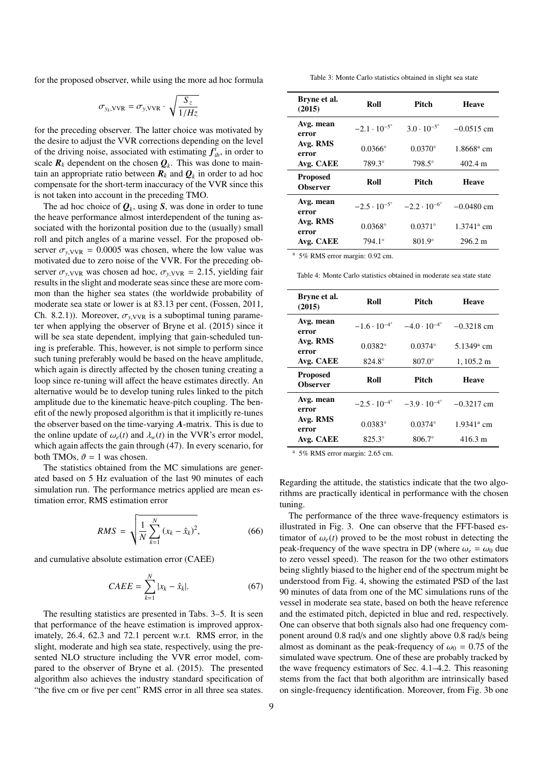for the proposed observer, while using the more ad hoc formula

$$
\sigma_{y_k, \text{VVR}} = \sigma_{y, \text{VVR}} \cdot \sqrt{\frac{S_z}{1/Hz}}
$$

for the preceding observer. The latter choice was motivated by the desire to adjust the VVR corrections depending on the level of the driving noise, associated with estimating  $f_{ib}^t$ , in order to scale  $R_k$  dependent on the chosen  $Q_k$ . This was done to maintain an appropriate ratio between  $\boldsymbol{R}_k$  and  $\boldsymbol{Q}_k$  in order to ad hoc compensate for the short-term inaccuracy of the VVR since this is not taken into account in the preceding TMO.

The ad hoc choice of  $Q_k$ , using *S*, was done in order to tune the heave performance almost interdependent of the tuning associated with the horizontal position due to the (usually) small roll and pitch angles of a marine vessel. For the proposed observer  $\sigma_{v,VVR}$  = 0.0005 was chosen, where the low value was motivated due to zero noise of the VVR. For the preceding observer  $\sigma_{y,VVR}$  was chosen ad hoc,  $\sigma_{y,VVR} = 2.15$ , yielding fair results in the slight and moderate seas since these are more common than the higher sea states (the worldwide probability of moderate sea state or lower is at 83.13 per cent, [\(Fossen, 2011,](#page-15-12) Ch. 8.2.1)). Moreover,  $\sigma_{v,VVR}$  is a suboptimal tuning parameter when applying the observer of [Bryne et al.](#page-15-5) [\(2015\)](#page-15-5) since it will be sea state dependent, implying that gain-scheduled tuning is preferable. This, however, is not simple to perform since such tuning preferably would be based on the heave amplitude, which again is directly affected by the chosen tuning creating a loop since re-tuning will affect the heave estimates directly. An alternative would be to develop tuning rules linked to the pitch amplitude due to the kinematic heave-pitch coupling. The benefit of the newly proposed algorithm is that it implicitly re-tunes the observer based on the time-varying *A*-matrix. This is due to the online update of  $\omega_e(t)$  and  $\lambda_w(t)$  in the VVR's error model, which again affects the gain through [\(47\)](#page-5-6). In every scenario, for both TMOs,  $\vartheta = 1$  was chosen.

The statistics obtained from the MC simulations are generated based on 5 Hz evaluation of the last 90 minutes of each simulation run. The performance metrics applied are mean estimation error, RMS estimation error

$$
RMS = \sqrt{\frac{1}{N} \sum_{k=1}^{N} (x_k - \hat{x}_k)^2},
$$
 (66)

and cumulative absolute estimation error (CAEE)

$$
CAEE = \sum_{k=1}^{N} |x_k - \hat{x}_k|.
$$
 (67)

The resulting statistics are presented in Tabs. [3](#page-8-0)[–5.](#page-9-0) It is seen that performance of the heave estimation is improved approximately, 26.4, 62.3 and 72.1 percent w.r.t. RMS error, in the slight, moderate and high sea state, respectively, using the presented NLO structure including the VVR error model, compared to the observer of [Bryne et al.](#page-15-5) [\(2015\)](#page-15-5). The presented algorithm also achieves the industry standard specification of "the five cm or five per cent" RMS error in all three sea states.

Table 3: Monte Carlo statistics obtained in slight sea state

<span id="page-8-0"></span>

| Bryne et al.<br>(2015)             | Roll                         | Pitch                             | <b>Heave</b>             |
|------------------------------------|------------------------------|-----------------------------------|--------------------------|
| Avg. mean<br>error                 | $-2.1 \cdot 10^{-5^{\circ}}$ | $3.0 \cdot 10^{-5^{\circ}}$       | $-0.0515$ cm             |
| Avg. RMS<br>error                  | $0.0366^{\circ}$             | $0.0370^{\circ}$                  | $1.8668$ <sup>a</sup> cm |
| Avg. CAEE                          | 789.3°                       | $798.5^\circ$                     | $402.4 \text{ m}$        |
| <b>Proposed</b><br><b>Observer</b> | Roll                         | Pitch                             | <b>Heave</b>             |
| Avg. mean<br>error                 | $-2.5 \cdot 10^{-5^{\circ}}$ | $-2.2 \cdot 10^{-6}$ <sup>o</sup> | $-0.0480$ cm             |
| Avg. RMS                           |                              |                                   |                          |
| error                              | $0.0368^{\circ}$             | $0.0371^{\circ}$                  | $1.3741$ <sup>a</sup> cm |

<span id="page-8-1"></span><sup>a</sup> 5% RMS error margin: 0.92 cm.

Table 4: Monte Carlo statistics obtained in moderate sea state state

| Bryne et al.<br>(2015)             | Roll                         | Pitch                        | <b>Heave</b>             |
|------------------------------------|------------------------------|------------------------------|--------------------------|
| Avg. mean<br>error                 | $-1.6 \cdot 10^{-4^{\circ}}$ | $-4.0 \cdot 10^{-4^{\circ}}$ | $-0.3218$ cm             |
| Avg. RMS<br>error                  | $0.0382^{\circ}$             | $0.0374^{\circ}$             | $5.1349$ <sup>a</sup> cm |
| Avg. CAEE                          | $824.8^\circ$                | $807.0^\circ$                | $1,105.2 \text{ m}$      |
| <b>Proposed</b><br><b>Observer</b> | Roll                         | Pitch                        | <b>Heave</b>             |
| Avg. mean<br>error                 | $-2.5 \cdot 10^{-4^{\circ}}$ | $-3.9 \cdot 10^{-4^{\circ}}$ | $-0.3217$ cm             |
| Avg. RMS<br>error                  | $0.0383^{\circ}$             | $0.0374^{\circ}$             | $1.9341$ <sup>a</sup> cm |
| Avg. CAEE                          | $825.3^\circ$                | $806.7^\circ$                | 416.3 m                  |

<span id="page-8-2"></span> $a$  5% RMS error margin: 2.65 cm.

Regarding the attitude, the statistics indicate that the two algorithms are practically identical in performance with the chosen tuning.

The performance of the three wave-frequency estimators is illustrated in Fig. [3.](#page-9-1) One can observe that the FFT-based estimator of  $\omega_e(t)$  proved to be the most robust in detecting the peak-frequency of the wave spectra in DP (where  $\omega_e = \omega_0$  due to zero vessel speed). The reason for the two other estimators being slightly biased to the higher end of the spectrum might be understood from Fig. [4,](#page-9-2) showing the estimated PSD of the last 90 minutes of data from one of the MC simulations runs of the vessel in moderate sea state, based on both the heave reference and the estimated pitch, depicted in blue and red, respectively. One can observe that both signals also had one frequency component around 0.8 rad/s and one slightly above 0.8 rad/s being almost as dominant as the peak-frequency of  $\omega_0 = 0.75$  of the simulated wave spectrum. One of these are probably tracked by the wave frequency estimators of Sec. [4.1](#page-6-5)[–4.2.](#page-6-6) This reasoning stems from the fact that both algorithm are intrinsically based on single-frequency identification. Moreover, from Fig. [3b](#page-9-1) one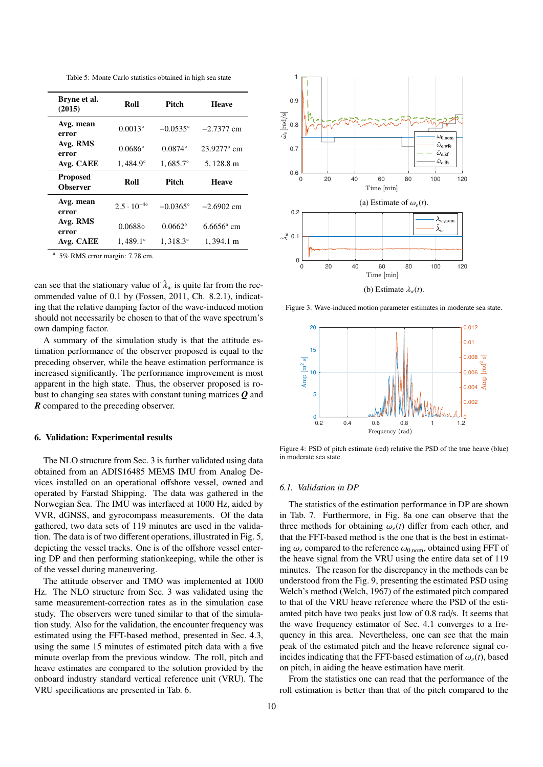Table 5: Monte Carlo statistics obtained in high sea state

<span id="page-9-0"></span>

| Bryne et al.<br>(2015)             | Roll                     | Pitch             | Heave                     |
|------------------------------------|--------------------------|-------------------|---------------------------|
| Avg. mean<br>error                 | $0.0013^{\circ}$         | $-0.0535^{\circ}$ | $-2.7377$ cm              |
| Avg. RMS<br>error                  | $0.0686^{\circ}$         | $0.0874^{\circ}$  | $23.9277$ <sup>a</sup> cm |
| Avg. CAEE                          | $1,484.9^\circ$          | $1,685.7^{\circ}$ | 5,128.8 m                 |
| <b>Proposed</b><br><b>Observer</b> | Roll                     | Pitch             | <b>Heave</b>              |
| Avg. mean<br>error                 | $2.5 \cdot 10^{-4\circ}$ | $-0.0365^{\circ}$ | $-2.6902$ cm              |
|                                    |                          |                   |                           |
| Avg. RMS<br>error                  | 0.06880                  | $0.0662^{\circ}$  | $6.6656^{\circ}$ cm       |

<span id="page-9-3"></span><sup>a</sup> 5% RMS error margin: 7.78 cm.

can see that the stationary value of  $\lambda_w$  is quite far from the rec-<br>commended value of 0.1 by (Fossen, 2011, Ch, 8.2.1), indicatommended value of 0.1 by [\(Fossen, 2011,](#page-15-12) Ch. 8.2.1), indicating that the relative damping factor of the wave-induced motion should not necessarily be chosen to that of the wave spectrum's own damping factor.

A summary of the simulation study is that the attitude estimation performance of the observer proposed is equal to the preceding observer, while the heave estimation performance is increased significantly. The performance improvement is most apparent in the high state. Thus, the observer proposed is robust to changing sea states with constant tuning matrices *Q* and *R* compared to the preceding observer.

### 6. Validation: Experimental results

The NLO structure from Sec. [3](#page-3-7) is further validated using data obtained from an ADIS16485 MEMS IMU from Analog Devices installed on an operational offshore vessel, owned and operated by Farstad Shipping. The data was gathered in the Norwegian Sea. The IMU was interfaced at 1000 Hz, aided by VVR, dGNSS, and gyrocompass measurements. Of the data gathered, two data sets of 119 minutes are used in the validation. The data is of two different operations, illustrated in Fig. [5,](#page-10-0) depicting the vessel tracks. One is of the offshore vessel entering DP and then performing stationkeeping, while the other is of the vessel during maneuvering.

The attitude observer and TMO was implemented at 1000 Hz. The NLO structure from Sec. [3](#page-3-7) was validated using the same measurement-correction rates as in the simulation case study. The observers were tuned similar to that of the simulation study. Also for the validation, the encounter frequency was estimated using the FFT-based method, presented in Sec. [4.3,](#page-7-6) using the same 15 minutes of estimated pitch data with a five minute overlap from the previous window. The roll, pitch and heave estimates are compared to the solution provided by the onboard industry standard vertical reference unit (VRU). The VRU specifications are presented in Tab. [6.](#page-10-1)

<span id="page-9-1"></span>

Figure 3: Wave-induced motion parameter estimates in moderate sea state.

<span id="page-9-2"></span>

Figure 4: PSD of pitch estimate (red) relative the PSD of the true heave (blue) in moderate sea state.

#### *6.1. Validation in DP*

The statistics of the estimation performance in DP are shown in Tab. [7.](#page-10-2) Furthermore, in Fig. [8a](#page-11-0) one can observe that the three methods for obtaining  $\omega_e(t)$  differ from each other, and that the FFT-based method is the one that is the best in estimating  $\omega_e$  compared to the reference  $\omega_{0,\text{nom}}$ , obtained using FFT of the heave signal from the VRU using the entire data set of 119 minutes. The reason for the discrepancy in the methods can be understood from the Fig. [9,](#page-11-1) presenting the estimated PSD using Welch's method [\(Welch, 1967\)](#page-15-25) of the estimated pitch compared to that of the VRU heave reference where the PSD of the estiamted pitch have two peaks just low of 0.8 rad/s. It seems that the wave frequency estimator of Sec. [4.1](#page-6-5) converges to a frequency in this area. Nevertheless, one can see that the main peak of the estimated pitch and the heave reference signal coincides indicating that the FFT-based estimation of  $\omega_e(t)$ , based on pitch, in aiding the heave estimation have merit.

From the statistics one can read that the performance of the roll estimation is better than that of the pitch compared to the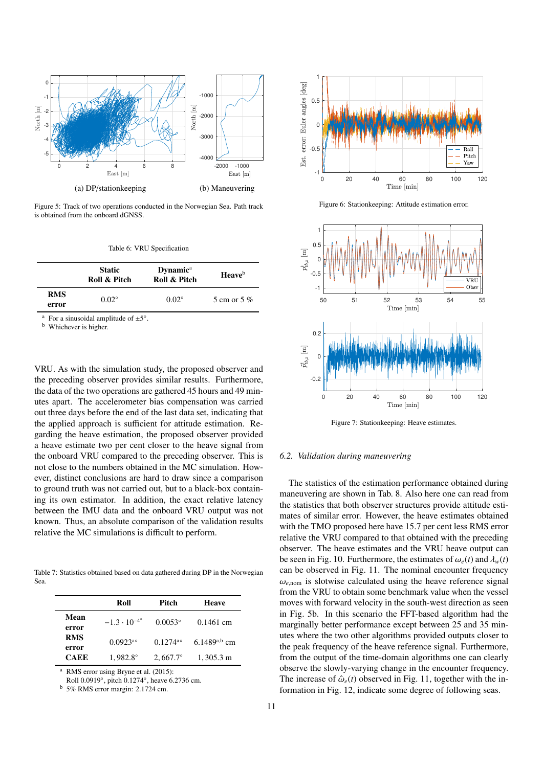<span id="page-10-0"></span>

Figure 5: Track of two operations conducted in the Norwegian Sea. Path track is obtained from the onboard dGNSS.

Table 6: VRU Specification

<span id="page-10-1"></span>

|                     | <b>Static</b><br><b>Dynamic</b> <sup>a</sup><br>Roll & Pitch<br>Roll & Pitch | <b>Heave</b> <sup>b</sup> |
|---------------------|------------------------------------------------------------------------------|---------------------------|
| <b>RMS</b><br>error | $0.02^{\circ}$<br>$0.02^{\circ}$                                             | 5 cm or 5 $%$             |

<span id="page-10-3"></span><sup>a</sup> For a sinusoidal amplitude of  $\pm 5^\circ$ .

<span id="page-10-4"></span>Whichever is higher.

VRU. As with the simulation study, the proposed observer and the preceding observer provides similar results. Furthermore, the data of the two operations are gathered 45 hours and 49 minutes apart. The accelerometer bias compensation was carried out three days before the end of the last data set, indicating that the applied approach is sufficient for attitude estimation. Regarding the heave estimation, the proposed observer provided a heave estimate two per cent closer to the heave signal from the onboard VRU compared to the preceding observer. This is not close to the numbers obtained in the MC simulation. However, distinct conclusions are hard to draw since a comparison to ground truth was not carried out, but to a black-box containing its own estimator. In addition, the exact relative latency between the IMU data and the onboard VRU output was not known. Thus, an absolute comparison of the validation results relative the MC simulations is difficult to perform.

<span id="page-10-2"></span>Table 7: Statistics obtained based on data gathered during DP in the Norwegian Sea.

|                     | Roll                         | Pitch             | <b>Heave</b>        |
|---------------------|------------------------------|-------------------|---------------------|
| Mean<br>error       | $-1.3 \cdot 10^{-4^{\circ}}$ | $0.0053^{\circ}$  | $0.1461$ cm         |
| <b>RMS</b><br>error | $0.0923^{a}$                 | $0.1274^{a}$      | 6.1489a,b cm        |
| <b>CAEE</b>         | $1,982.8^{\circ}$            | $2,667.7^{\circ}$ | $1,305.3 \text{ m}$ |

<span id="page-10-5"></span><sup>a</sup> RMS error using [Bryne et al.](#page-15-5) [\(2015\)](#page-15-5):

Roll 0.0919°, pitch 0.1274°, heave 6.2736 cm.<br>5% RMS error margin: 2.1724 cm

<span id="page-10-6"></span><sup>b</sup> 5% RMS error margin: 2.1724 cm.



Figure 6: Stationkeeping: Attitude estimation error.



Figure 7: Stationkeeping: Heave estimates.

### *6.2. Validation during maneuvering*

The statistics of the estimation performance obtained during maneuvering are shown in Tab. [8.](#page-11-2) Also here one can read from the statistics that both observer structures provide attitude estimates of similar error. However, the heave estimates obtained with the TMO proposed here have 15.7 per cent less RMS error relative the VRU compared to that obtained with the preceding observer. The heave estimates and the VRU heave output can be seen in Fig. [10.](#page-11-3) Furthermore, the estimates of  $\omega_e(t)$  and  $\lambda_w(t)$ can be observed in Fig. [11.](#page-12-2) The nominal encounter frequency  $\omega_{e,nom}$  is slotwise calculated using the heave reference signal from the VRU to obtain some benchmark value when the vessel moves with forward velocity in the south-west direction as seen in Fig. [5b.](#page-10-0) In this scenario the FFT-based algorithm had the marginally better performance except between 25 and 35 minutes where the two other algorithms provided outputs closer to the peak frequency of the heave reference signal. Furthermore, from the output of the time-domain algorithms one can clearly observe the slowly-varying change in the encounter frequency. The increase of  $\hat{\omega}_e(t)$  observed in Fig. [11,](#page-12-2) together with the information in Fig. [12,](#page-12-3) indicate some degree of following seas.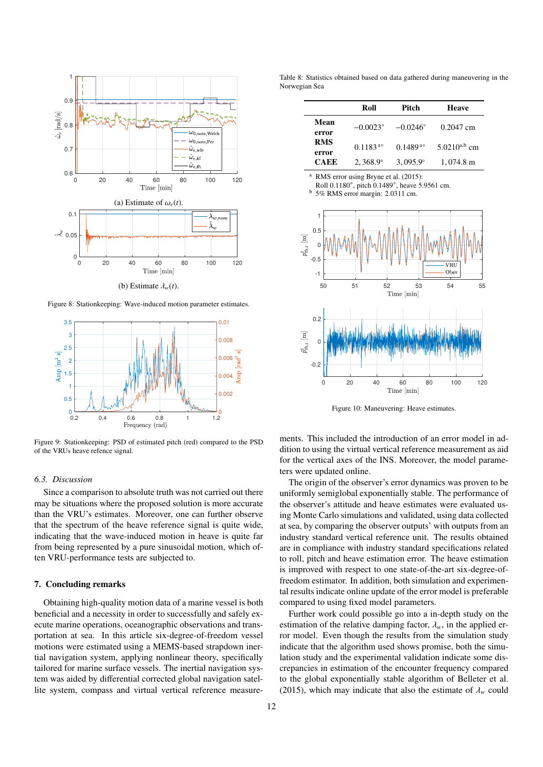<span id="page-11-0"></span>

Figure 8: Stationkeeping: Wave-induced motion parameter estimates.

<span id="page-11-1"></span>

Figure 9: Stationkeeping: PSD of estimated pitch (red) compared to the PSD of the VRUs heave refence signal.

# *6.3. Discussion*

Since a comparison to absolute truth was not carried out there may be situations where the proposed solution is more accurate than the VRU's estimates. Moreover, one can further observe that the spectrum of the heave reference signal is quite wide, indicating that the wave-induced motion in heave is quite far from being represented by a pure sinusoidal motion, which often VRU-performance tests are subjected to.

#### 7. Concluding remarks

Obtaining high-quality motion data of a marine vessel is both beneficial and a necessity in order to successfully and safely execute marine operations, oceanographic observations and transportation at sea. In this article six-degree-of-freedom vessel motions were estimated using a MEMS-based strapdown inertial navigation system, applying nonlinear theory, specifically tailored for marine surface vessels. The inertial navigation system was aided by differential corrected global navigation satellite system, compass and virtual vertical reference measure-

<span id="page-11-2"></span>Table 8: Statistics obtained based on data gathered during maneuvering in the Norwegian Sea

|                     | Roll              | Pitch             | <b>Heave</b>             |
|---------------------|-------------------|-------------------|--------------------------|
| Mean<br>error       | $-0.0023^{\circ}$ | $-0.0246^{\circ}$ | $0.2047$ cm              |
| <b>RMS</b><br>error | $0.1183^{10}$     | $0.1489^{ao}$     | 5.0210 <sup>a,b</sup> cm |
| <b>CAEE</b>         | $2,368.9^{\circ}$ | $3,095.9^{\circ}$ | $1,074.8 \text{ m}$      |

<span id="page-11-4"></span><sup>a</sup> RMS error using [Bryne et al.](#page-15-5) [\(2015\)](#page-15-5):

<span id="page-11-5"></span>Roll 0.1180°, pitch 0.1489°, heave 5.9561 cm.<br>5% RMS error margin: 2.0311 cm  $b$  5% RMS error margin: 2.0311 cm.

<span id="page-11-3"></span>

Figure 10: Maneuvering: Heave estimates.

ments. This included the introduction of an error model in addition to using the virtual vertical reference measurement as aid for the vertical axes of the INS. Moreover, the model parameters were updated online.

The origin of the observer's error dynamics was proven to be uniformly semiglobal exponentially stable. The performance of the observer's attitude and heave estimates were evaluated using Monte Carlo simulations and validated, using data collected at sea, by comparing the observer outputs' with outputs from an industry standard vertical reference unit. The results obtained are in compliance with industry standard specifications related to roll, pitch and heave estimation error. The heave estimation is improved with respect to one state-of-the-art six-degree-offreedom estimator. In addition, both simulation and experimental results indicate online update of the error model is preferable compared to using fixed model parameters.

Further work could possible go into a in-depth study on the estimation of the relative damping factor,  $\lambda_w$ , in the applied error model. Even though the results from the simulation study indicate that the algorithm used shows promise, both the simulation study and the experimental validation indicate some discrepancies in estimation of the encounter frequency compared to the global exponentially stable algorithm of [Belleter et al.](#page-15-24) [\(2015\)](#page-15-24), which may indicate that also the estimate of  $\lambda_w$  could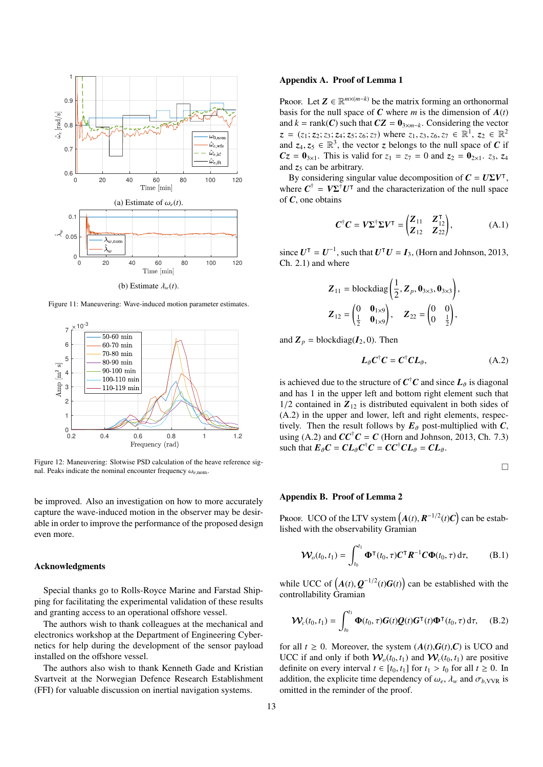<span id="page-12-2"></span>

Figure 11: Maneuvering: Wave-induced motion parameter estimates.

<span id="page-12-3"></span>

Figure 12: Maneuvering: Slotwise PSD calculation of the heave reference signal. Peaks indicate the nominal encounter frequency  $\omega_{e,\text{nom}}$ .

be improved. Also an investigation on how to more accurately capture the wave-induced motion in the observer may be desirable in order to improve the performance of the proposed design even more.

#### Acknowledgments

Special thanks go to Rolls-Royce Marine and Farstad Shipping for facilitating the experimental validation of these results and granting access to an operational offshore vessel.

The authors wish to thank colleagues at the mechanical and electronics workshop at the Department of Engineering Cybernetics for help during the development of the sensor payload installed on the offshore vessel.

The authors also wish to thank Kenneth Gade and Kristian Svartveit at the Norwegian Defence Research Establishment (FFI) for valuable discussion on inertial navigation systems.

### <span id="page-12-0"></span>Appendix A. Proof of Lemma [1](#page-5-3)

PROOF. Let  $\mathbf{Z} \in \mathbb{R}^{m \times (m-k)}$  be the matrix forming an orthonormal basis for the null space of  $C$  where  $m$  is the dimension of  $A(t)$ and  $k = \text{rank}(C)$  such that  $CZ = \mathbf{0}_{3 \times m-k}$ . Considering the vector  $z = (z_1; z_2; z_3; z_4; z_5; z_6; z_7)$  where  $z_1, z_3, z_6, z_7 \in \mathbb{R}^1$ ,  $z_2 \in \mathbb{R}^2$ <br>and  $z_1, z_2 \in \mathbb{R}^3$  the vector *z* belongs to the null space of *C* if and  $z_4, z_5 \in \mathbb{R}^3$ , the vector *z* belongs to the null space of *C* if  $C_7 - 0$ , This is valid for  $z_1 - z_2 = 0$  and  $z_2 - 0$ ,  $z_3 = 7$  $Cz = 0_{3 \times 1}$ . This is valid for  $z_1 = z_7 = 0$  and  $z_2 = 0_{2 \times 1}$ .  $z_3$ ,  $z_4$ and  $z_5$  can be arbitrary.

By considering singular value decomposition of  $C = U\Sigma V^{\dagger}$ , where  $C^{\dagger} = V \Sigma^{\dagger} U^{\dagger}$  and the characterization of the null space of *C*, one obtains

$$
\mathbf{C}^{\dagger}\mathbf{C} = \mathbf{V}\Sigma^{\dagger}\Sigma\mathbf{V}^{\mathsf{T}} = \begin{pmatrix} \mathbf{Z}_{11} & \mathbf{Z}_{12}^{\mathsf{T}} \\ \mathbf{Z}_{12} & \mathbf{Z}_{22} \end{pmatrix}, \tag{A.1}
$$

since  $U^{\dagger} = U^{-1}$ , such that  $U^{\dagger}U = I_3$ , [\(Horn and Johnson, 2013,](#page-15-30) Ch. 2.1) and where

$$
Z_{11} = \text{blockdiag}\left(\frac{1}{2}, Z_p, \mathbf{0}_{3\times3}, \mathbf{0}_{3\times3}\right)
$$
  

$$
Z_{12} = \begin{pmatrix} 0 & \mathbf{0}_{1\times9} \\ \frac{1}{2} & \mathbf{0}_{1\times9} \end{pmatrix}, \quad Z_{22} = \begin{pmatrix} 0 & 0 \\ 0 & \frac{1}{2} \end{pmatrix},
$$

and  $\mathbf{Z}_p = \text{blockdiag}(\mathbf{I}_2, 0)$ . Then

$$
L_{\vartheta} C^{\dagger} C = C^{\dagger} C L_{\vartheta}, \qquad (A.2)
$$

<span id="page-12-4"></span>,

is achieved due to the structure of  $C^{\dagger}C$  and since  $L_{\theta}$  is diagonal<br>and has *L* in the unner left and better gight alomant such that and has 1 in the upper left and bottom right element such that  $1/2$  contained in  $\mathbb{Z}_{12}$  is distributed equivalent in both sides of [\(A.2\)](#page-12-4) in the upper and lower, left and right elements, respectively. Then the result follows by  $E_{\theta}$  post-multiplied with *C*, using [\(A.2\)](#page-12-4) and  $CC^{\dagger}C = C$  [\(Horn and Johnson, 2013,](#page-15-30) Ch. 7.3) such that  $E_{\theta}C = CL_{\theta}C^{\dagger}C = CC^{\dagger}CL_{\theta} = CL_{\theta}$ .

$$
\Box
$$

#### <span id="page-12-1"></span>Appendix B. Proof of Lemma [2](#page-5-8)

Proof. UCO of the LTV system  $(A(t), R^{-1/2}(t)C)$  can be estab-<br>lished with the observability Gramian lished with the observability Gramian

$$
\mathbf{W}_o(t_0, t_1) = \int_{t_0}^{t_1} \mathbf{\Phi}^\mathsf{T}(t_0, \tau) \mathbf{C}^\mathsf{T} \mathbf{R}^{-1} \mathbf{C} \mathbf{\Phi}(t_0, \tau) \, \mathrm{d}\tau, \tag{B.1}
$$

while UCC of  $(A(t), Q^{-1/2}(t)G(t))$  can be established with the controllability Gramian controllability Gramian

$$
\mathbf{W}_c(t_0, t_1) = \int_{t_0}^{t_1} \mathbf{\Phi}(t_0, \tau) \mathbf{G}(t) \mathbf{Q}(t) \mathbf{G}^\mathsf{T}(t) \mathbf{\Phi}^\mathsf{T}(t_0, \tau) \, \mathrm{d}\tau, \quad \text{(B.2)}
$$

for all  $t \geq 0$ . Moreover, the system  $(A(t), G(t), C)$  is UCO and UCC if and only if both  $W_o(t_0, t_1)$  and  $W_c(t_0, t_1)$  are positive definite on every interval  $t \in [t_0, t_1]$  for  $t_1 > t_0$  for all  $t \ge 0$ . In addition, the explicite time dependency of  $\omega_e$ ,  $\lambda_w$  and  $\sigma_{b,VVR}$  is omitted in the reminder of the proof.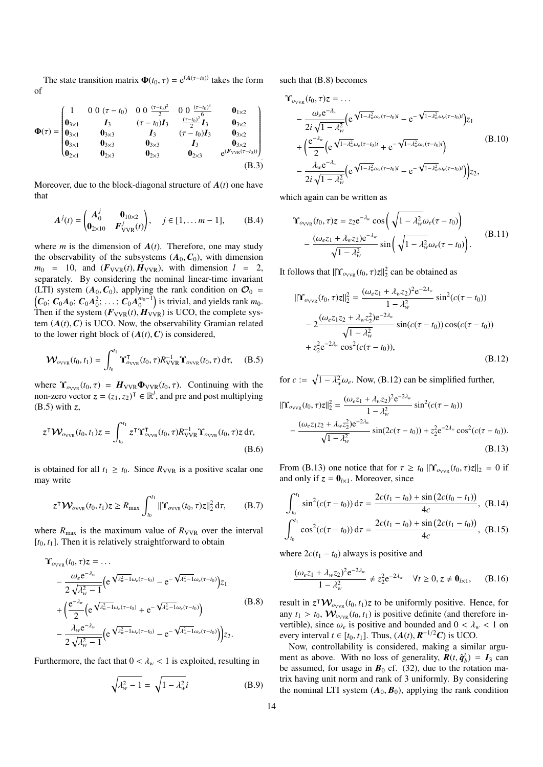The state transition matrix  $\Phi(t_0, \tau) = e^{(A(\tau - t_0))}$  takes the form of

$$
\Phi(\tau) = \begin{pmatrix}\n1 & 0 & 0 & (\tau - t_0) & 0 & 0 & \frac{(\tau - t_0)^2}{2} & 0 & 0 & \frac{(\tau - t_0)^3}{2} & 0_{1 \times 2} \\
0_{3 \times 1} & I_3 & (\tau - t_0)I_3 & \frac{(\tau - t_0)^2}{2}I_3 & 0_{3 \times 2} \\
0_{3 \times 1} & 0_{3 \times 3} & I_3 & (\tau - t_0)I_3 & 0_{3 \times 2} \\
0_{3 \times 1} & 0_{3 \times 3} & 0_{3 \times 3} & I_3 & 0_{3 \times 2} \\
0_{2 \times 1} & 0_{2 \times 3} & 0_{2 \times 3} & 0_{2 \times 3} & e^{(F_{\text{VVR}}(\tau - t_0))}\n\end{pmatrix}
$$
\n(B.3)

Moreover, due to the block-diagonal structure of  $A(t)$  one have that

$$
A^{j}(t) = \begin{pmatrix} A_0^{j} & \mathbf{0}_{10 \times 2} \\ \mathbf{0}_{2 \times 10} & \mathbf{F}_{\text{VVR}}^{j}(t) \end{pmatrix}, \quad j \in [1, \dots m - 1], \quad (B.4)
$$

where  $m$  is the dimension of  $A(t)$ . Therefore, one may study the observability of the subsystems  $(A_0, C_0)$ , with dimension  $m_0$  = 10, and  $(F_{VVR}(t), H_{VVR})$ , with dimension  $l = 2$ , separately. By considering the nominal linear-time invariant (LTI) system  $(A_0, C_0)$ , applying the rank condition on  $\mathcal{O}_0 =$ <br> $(C_0; C_0A_0; C_0A_0^2; \dots; C_0A_0^{m_0-1})$  is trivial, and yields rank  $m_0$ .<br>Then if the system  $(F_{\text{sum}}(t) H_{\text{sum}})$  is LICO, the complete sys-Then if the system  $(F_{VVR}(t), H_{VVR})$  is UCO, the complete system  $(A(t), C)$  is UCO. Now, the observability Gramian related to the lower right block of  $(A(t), C)$  is considered,

$$
\mathbf{\mathcal{W}}_{o_{\text{VVR}}}(t_0, t_1) = \int_{t_0}^{t_1} \Upsilon_{o_{\text{VVR}}}^{\mathsf{T}}(t_0, \tau) R_{\text{VVR}}^{-1} \Upsilon_{o_{\text{VVR}}}(t_0, \tau) d\tau, \quad (B.5)
$$

where  $\Upsilon_{o_{VVR}}(t_0, \tau) = H_{VVR} \Phi_{VVR}(t_0, \tau)$ . Continuing with the non-zero vector  $z = (z_1, z_2)^T \in \mathbb{R}^l$ , and pre and post multiplying (B.5) with z [\(B.5\)](#page-13-0) with *z*,

$$
\mathbf{z}^{\mathsf{T}} \mathbf{W}_{\text{ovvR}}(t_0, t_1) \mathbf{z} = \int_{t_0}^{t_1} \mathbf{z}^{\mathsf{T}} \mathbf{\Upsilon}_{\text{ovvR}}^{\mathsf{T}}(t_0, \tau) R_{\text{VVR}}^{-1} \mathbf{\Upsilon}_{\text{ovvR}}(t_0, \tau) \mathbf{z} \, \mathrm{d}\tau,
$$
\n(B.6)

is obtained for all  $t_1 \geq t_0$ . Since  $R_{VVR}$  is a positive scalar one may write

$$
z^{\mathsf{T}} \mathcal{W}_{o_{\text{VVR}}}(t_0, t_1) z \ge R_{\text{max}} \int_{t_0}^{t_1} ||\Upsilon_{o_{\text{VVR}}}(t_0, \tau) z||_2^2 d\tau, \qquad (B.7)
$$

where  $R_{\text{max}}$  is the maximum value of  $R_{\text{VVR}}$  over the interval  $[t_0, t_1]$ . Then it is relatively straightforward to obtain

$$
\begin{split} \Upsilon_{o_{\text{VVR}}}(t_{0},\tau)z &= \dots \\ &- \frac{\omega_{e}e^{-\lambda_{w}}}{2\sqrt{\lambda_{w}^{2}-1}} \Big(e^{\sqrt{\lambda_{w}^{2}-1}\omega_{e}(\tau-t_{0})} - e^{-\sqrt{\lambda_{w}^{2}-1}\omega_{e}(\tau-t_{0})}\Big)z_{1} \\ &+ \Big(\frac{e^{-\lambda_{w}}}{2}\Big(e^{\sqrt{\lambda_{w}^{2}-1}\omega_{e}(\tau-t_{0})} + e^{-\sqrt{\lambda_{w}^{2}-1}\omega_{e}(\tau-t_{0})}\Big) \\ &- \frac{\lambda_{w}e^{-\lambda_{w}}}{2\sqrt{\lambda_{w}^{2}-1}}\Big(e^{\sqrt{\lambda_{w}^{2}-1}\omega_{e}(\tau-t_{0})} - e^{-\sqrt{\lambda_{w}^{2}-1}\omega_{e}(\tau-t_{0})}\Big)\Big)z_{2} . \end{split} \tag{B.8}
$$

Furthermore, the fact that  $0 < \lambda_w < 1$  is exploited, resulting in

$$
\sqrt{\lambda_w^2 - 1} = \sqrt{1 - \lambda_w^2}i
$$
 (B.9)

such that [\(B.8\)](#page-13-1) becomes

$$
\mathbf{\hat{Y}}_{o_{\text{VVR}}}(t_0, \tau)z = \dots
$$
\n
$$
- \frac{\omega_e e^{-\lambda_w}}{2i\sqrt{1-\lambda_w^2}} \left( e^{\sqrt{1-\lambda_w^2}\omega_e(\tau-t_0)i} - e^{-\sqrt{1-\lambda_w^2}\omega_e(\tau-t_0)i} \right) z_1
$$
\n
$$
+ \left( \frac{e^{-\lambda_w}}{2} \left( e^{\sqrt{1-\lambda_w^2}\omega_e(\tau-t_0)i} + e^{-\sqrt{1-\lambda_w^2}\omega_e(\tau-t_0)i} \right) - \frac{\lambda_w e^{-\lambda_w}}{2i\sqrt{1-\lambda_w^2}} \left( e^{\sqrt{1-\lambda_w^2}\omega_e(\tau-t_0)i} - e^{-\sqrt{1-\lambda_w^2}\omega_e(\tau-t_0)i} \right) z_2,
$$
\n(B.10)

which again can be written as

$$
\mathbf{\Upsilon}_{o_{\text{VVR}}}(t_0, \tau) \mathbf{z} = z_2 e^{-\lambda_w} \cos\left(\sqrt{1 - \lambda_w^2} \omega_e(\tau - t_0)\right) \n- \frac{(\omega_e z_1 + \lambda_w z_2) e^{-\lambda_w}}{\sqrt{1 - \lambda_w^2}} \sin\left(\sqrt{1 - \lambda_w^2} \omega_e(\tau - t_0)\right).
$$
\n(B.11)

It follows that  $\|\Upsilon_{o_{VVR}}(t_0, \tau)z\|_2^2$  can be obtained as

$$
\|\mathbf{T}_{o_{\text{VVR}}}(t_0, \tau)z\|_2^2 = \frac{(\omega_e z_1 + \lambda_w z_2)^2 e^{-2\lambda_w}}{1 - \lambda_w^2} \sin^2(c(\tau - t_0))
$$
  
-2 $\frac{(\omega_e z_1 z_2 + \lambda_w z_2^2) e^{-2\lambda_w}}{\sqrt{1 - \lambda_w^2}} \sin(c(\tau - t_0)) \cos(c(\tau - t_0))$   
+ z\_2^2 e^{-2\lambda\_w} \cos^2(c(\tau - t\_0)), (B.12)

<span id="page-13-4"></span><span id="page-13-3"></span><span id="page-13-2"></span><sup>−</sup>2λ*<sup>w</sup>*

<span id="page-13-0"></span>for  $c := \sqrt{1 - \lambda_w^2} \omega_e$ . Now, [\(B.12\)](#page-13-2) can be simplified further,

$$
\|\mathbf{T}_{o_{VVR}}(t_0, \tau)z\|_2^2 = \frac{(\omega_e z_1 + \lambda_w z_2)^2 e^{-2\lambda_w}}{1 - \lambda_w^2} \sin^2(c(\tau - t_0)) - \frac{(\omega_e z_1 z_2 + \lambda_w z_2^2) e^{-2\lambda_w}}{\sqrt{1 - \lambda_w^2}} \sin(2c(\tau - t_0)) + z_2^2 e^{-2\lambda_w} \cos^2(c(\tau - t_0)).
$$
\n(B.13)

From [\(B.13\)](#page-13-3) one notice that for  $\tau \ge t_0 ||\Upsilon_{ov_x}(t_0, \tau)z||_2 = 0$  if and only if  $z = \mathbf{0}_{k \times 1}$ . Moreover, since

$$
\int_{t_0}^{t_1} \sin^2(c(\tau - t_0)) d\tau = \frac{2c(t_1 - t_0) + \sin(2c(t_0 - t_1))}{4c}, \quad (B.14)
$$

$$
\int_{t_0}^{t_1} \cos^2(c(\tau - t_0)) d\tau = \frac{2c(t_1 - t_0) + \sin(2c(t_1 - t_0))}{4c}, \quad (B.15)
$$

where  $2c(t_1 - t_0)$  always is positive and

<span id="page-13-5"></span>
$$
\frac{(\omega_e z_1 + \lambda_w z_2)^2 e^{-2\lambda_w}}{1 - \lambda_w^2} \neq z_2^2 e^{-2\lambda_w} \quad \forall t \ge 0, z \neq \mathbf{0}_{l \times 1}, \quad (B.16)
$$

<span id="page-13-1"></span>result in  $z^T W_{o_{VVR}}(t_0, t_1)z$  to be uniformly positive. Hence, for<br>any  $t_1 > t_0 W$  (*t<sub>o</sub>*  $t_1$ ) is positive definite (and therefore inany  $t_1 > t_0$ ,  $\mathcal{W}_{o_{\text{VVR}}}(t_0, t_1)$  is positive definite (and therefore invertible), since  $\omega_e$  is positive and bounded and  $0 < \lambda_w < 1$  on every interval  $t \in [t_0, t_1]$ . Thus,  $(A(t), \mathbf{R}^{-1/2}\mathbf{C})$  is UCO.<br>Now controllability is considered making a simil

Now, controllability is considered, making a similar argument as above. With no loss of generality,  $\mathbf{R}(t, \hat{\mathbf{q}}_b^t) = \mathbf{I}_3$  can<br>be assumed, for usage in  $\mathbf{R}_2$  of (32), due to the rotation mabe assumed, for usage in  $B_0$  cf. [\(32\)](#page-4-5), due to the rotation matrix having unit norm and rank of 3 uniformly. By considering the nominal LTI system  $(A_0, B_0)$ , applying the rank condition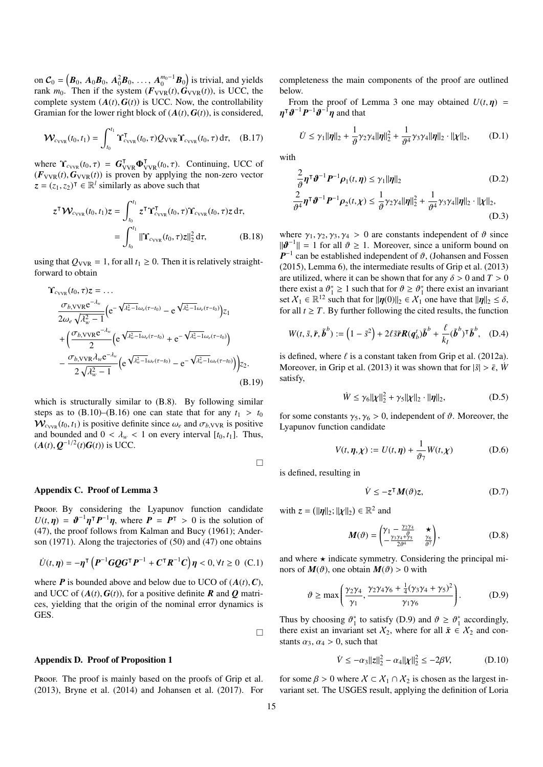on  $C_0 = (B_0, A_0B_0, A_0^2B_0, \ldots, A_0^{m_0-1}B_0)$  is trivial, and yields<br>rank  $m_0$ . Then if the system  $(F_{\text{BVD}}(t), G_{\text{BVD}}(t))$  is UCC, the rank  $m_0$ . Then if the system  $(F_{VVR}(t), G_{VVR}(t))$ , is UCC, the complete system  $(A(t), G(t))$  is UCC. Now, the controllability Gramian for the lower right block of  $(A(t), G(t))$ , is considered,

$$
\mathbf{\mathcal{W}}_{\text{cvvR}}(t_0, t_1) = \int_{t_0}^{t_1} \Upsilon_{\text{cvvR}}^{\mathsf{T}}(t_0, \tau) Q_{\text{VVR}} \Upsilon_{\text{cvvR}}(t_0, \tau) d\tau, \quad (B.17)
$$

where  $\Upsilon_{\text{cvvR}}(t_0, \tau) = G_{\text{vvR}}^{\text{T}} \Phi_{\text{vvR}}^{\text{T}}(t_0, \tau)$ . Continuing, UCC of  $(F_{VVR}(t), G_{VVR}(t))$  is proven by applying the non-zero vector  $z = (z_1, z_2)^{\mathsf{T}} \in \mathbb{R}^l$  similarly as above such that

$$
z^{\mathsf{T}} \mathcal{W}_{c_{\text{VVR}}}(t_0, t_1) z = \int_{t_0}^{t_1} z^{\mathsf{T}} \Upsilon_{c_{\text{VVR}}}^{\mathsf{T}}(t_0, \tau) \Upsilon_{c_{\text{VVR}}}(t_0, \tau) z \, d\tau,
$$
  
= 
$$
\int_{t_0}^{t_1} ||\Upsilon_{c_{\text{VVR}}}(t_0, \tau) z||_2^2 \, d\tau,
$$
 (B.18)

using that  $Q_{VVR} = 1$ , for all  $t_1 \ge 0$ . Then it is relatively straightforward to obtain

$$
\mathbf{\Upsilon}_{c_{VVR}}(t_0, \tau) z = \dots
$$
\n
$$
\frac{\sigma_{b, VVR} e^{-\lambda_w}}{2\omega_e \sqrt{\lambda_w^2 - 1}} \Big( e^{-\sqrt{\lambda_w^2 - 1}\omega_e(\tau - t_0)} - e^{-\sqrt{\lambda_w^2 - 1}\omega_e(\tau - t_0)} \Big) z_1
$$
\n
$$
+ \Big( \frac{\sigma_{b, VVR} e^{-\lambda_w}}{2} \Big( e^{-\sqrt{\lambda_w^2 - 1}\omega_e(\tau - t_0)} + e^{-\sqrt{\lambda_w^2 - 1}\omega_e(\tau - t_0)} \Big) - \frac{\sigma_{b, VVR} \lambda_w e^{-\lambda_w}}{2\sqrt{\lambda_w^2 - 1}} \Big( e^{-\sqrt{\lambda_w^2 - 1}\omega_e(\tau - t_0)} - e^{-\sqrt{\lambda_w^2 - 1}\omega_e(\tau - t_0)} \Big) \Big) z_2.
$$
\n(B.19)

which is structurally similar to [\(B.8\)](#page-13-1). By following similar steps as to  $(B.10)$ – $(B.16)$  one can state that for any  $t_1 > t_0$  $W_{c_{VVR}}(t_0, t_1)$  is positive definite since  $\omega_e$  and  $\sigma_{b, VVR}$  is positive and bounded and  $0 < \lambda_w < 1$  on every interval  $[t_0, t_1]$ . Thus,  $(A(t), Q^{-1/2}(t)G(t))$  is UCC.

$$
\Box
$$

# <span id="page-14-0"></span>Appendix C. Proof of Lemma [3](#page-5-9)

Proof. By considering the Lyapunov function candidate  $U(t, \eta) = \theta^{-1} \eta^{\top} P^{-1} \eta$ , where  $P = P^{\top} > 0$  is the solution of (47) the proof follows from Kalman and Bucy (1961); Ander-[\(47\)](#page-5-6), the proof follows from [Kalman and Bucy](#page-15-31) [\(1961\)](#page-15-31); [Ander](#page-15-32)[son](#page-15-32) [\(1971\)](#page-15-32). Along the trajectories of [\(50\)](#page-5-4) and [\(47\)](#page-5-6) one obtains

$$
\dot{U}(t,\eta) = -\eta^{\mathsf{T}} \left( P^{-1} G Q G^{\mathsf{T}} P^{-1} + C^{\mathsf{T}} R^{-1} C \right) \eta < 0, \forall t \ge 0 \tag{C.1}
$$

where  $P$  is bounded above and below due to UCO of  $(A(t), C)$ , and UCC of  $(A(t), G(t))$ , for a positive definite **R** and **Q** matrices, yielding that the origin of the nominal error dynamics is GES.

#### <span id="page-14-1"></span>Appendix D. Proof of Proposition [1](#page-6-2)

Proof. The proof is mainly based on the proofs of [Grip et al.](#page-15-6) [\(2013\)](#page-15-6), [Bryne et al.](#page-15-4) [\(2014\)](#page-15-4) and [Johansen et al.](#page-15-21) [\(2017\)](#page-15-21). For

completeness the main components of the proof are outlined below.

From the proof of Lemma [3](#page-5-9) one may obtained  $U(t, \eta)$  = η  $\mathbf{r}$  $\boldsymbol{\vartheta}^{-1} \boldsymbol{P}^{-1}$  $n^{-1}\eta$  and that

$$
\dot{U} \le \gamma_1 \|\eta\|_2 + \frac{1}{\vartheta} \gamma_2 \gamma_4 \|\eta\|_2^2 + \frac{1}{\vartheta^4} \gamma_3 \gamma_4 \|\eta\|_2 \cdot \|\chi\|_2, \tag{D.1}
$$

with

$$
\frac{2}{\vartheta} \eta^{\mathsf{T}} \vartheta^{-1} P^{-1} \rho_1(t, \eta) \le \gamma_1 ||\eta||_2
$$
\n(D.2)\n
$$
\frac{2}{\vartheta^4} \eta^{\mathsf{T}} \vartheta^{-1} P^{-1} \rho_2(t, \chi) \le \frac{1}{\vartheta} \gamma_2 \gamma_4 ||\eta||_2^2 + \frac{1}{\vartheta^4} \gamma_3 \gamma_4 ||\eta||_2 \cdot ||\chi||_2,
$$
\n(D.3)

where  $\gamma_1, \gamma_2, \gamma_3, \gamma_4 > 0$  are constants independent of  $\vartheta$  since  $\|\boldsymbol{\theta}^{-1}\| = 1$  for all  $\vartheta \ge 1$ . Moreover, since a uniform bound on  $\boldsymbol{P}^{-1}$  can be established independent of  $\vartheta$ . (Johansen and Eossen  $P^{-1}$  can be established independent of  $\vartheta$ , [\(Johansen and Fossen](#page-15-33))<br>(2015) Lemma 6) the intermediate results of Grin et al. (2013) [\(2015\)](#page-15-33), Lemma 6), the intermediate results of [Grip et al.](#page-15-6) [\(2013\)](#page-15-6) are utilized, where it can be shown that for any  $\delta > 0$  and  $T > 0$ there exist a  $\vartheta_1^* \geq 1$  such that for  $\vartheta \geq \vartheta_1^*$  there exist an invariant<br>set  $X_i \in \mathbb{R}^{12}$  such that for  $||\mathbf{n}(0)||_{\mathbf{0}} \in X$ , one have that  $||\mathbf{n}||_{\mathbf{0}} \leq \delta$ . set  $X_1 \in \mathbb{R}^{12}$  such that for  $||\eta(0)||_2 \in X_1$  one have that  $||\eta||_2 \le \delta$ , for all  $t > T$ . By further following the cited results, the function for all  $t \geq T$ . By further following the cited results, the function

$$
W(t, \tilde{s}, \tilde{r}, \tilde{b}^b) := (1 - \tilde{s}^2) + 2\ell \tilde{s} \tilde{r} R(q_b^t) \tilde{b}^b + \frac{\ell}{k_I} (\tilde{b}^b)^\intercal \tilde{b}^b, \quad (D.4)
$$

is defined, where  $\ell$  is a constant taken from [Grip et al.](#page-15-9) [\(2012a\)](#page-15-9). Moreover, in [Grip et al.](#page-15-6) [\(2013\)](#page-15-6) it was shown that for  $|\tilde{s}| > \bar{\epsilon}$ , *W* satisfy,

$$
\dot{W} \le \gamma_6 \|\chi\|_2^2 + \gamma_5 \|\chi\|_2 \cdot \|\eta\|_2, \tag{D.5}
$$

for some constants  $\gamma_5, \gamma_6 > 0$ , independent of  $\vartheta$ . Moreover, the Lyapunov function candidate

$$
V(t, \eta, \chi) := U(t, \eta) + \frac{1}{\vartheta_{7}} W(t, \chi)
$$
 (D.6)

is defined, resulting in

$$
\dot{V} \le -z^{\mathsf{T}} \mathbf{M}(\vartheta) z,\tag{D.7}
$$

with  $z = (||\eta||_2; ||\chi||_2) \in \mathbb{R}^2$  and

<span id="page-14-2"></span>
$$
M(\vartheta) = \begin{pmatrix} \gamma_1 - \frac{\gamma_2 \gamma_4}{2} & \star \\ -\frac{\gamma_3 \gamma_4 + \gamma_5}{2 \vartheta^4} & \frac{\gamma_6}{\vartheta^7} \end{pmatrix},
$$
(D.8)

and where  $\star$  indicate symmetry. Considering the principal minors of  $M(\vartheta)$ , one obtain  $M(\vartheta) > 0$  with

$$
\vartheta \ge \max\left(\frac{\gamma_2 \gamma_4}{\gamma_1}, \frac{\gamma_2 \gamma_4 \gamma_6 + \frac{1}{4} (\gamma_3 \gamma_4 + \gamma_5)^2}{\gamma_1 \gamma_6}\right). \tag{D.9}
$$

Thus by choosing  $\vartheta_1^*$  to satisfy [\(D.9\)](#page-14-2) and  $\vartheta \ge \vartheta_1^*$  accordingly, there exist an invariant set  $X_2$ , where for all  $\tilde{\mathbf{z}} \in X_2$  and conthere exist an invariant set  $X_2$ , where for all  $\tilde{\mathbf{x}} \in X_2$  and constants  $\alpha_3$ ,  $\alpha_4 > 0$ , such that

$$
\dot{V} \le -\alpha_3 ||z||_2^2 - \alpha_4 ||\chi||_2^2 \le -2\beta V,\tag{D.10}
$$

for some  $\beta > 0$  where  $\chi \subset \chi_1 \cap \chi_2$  is chosen as the largest invariant set. The USGES result, applying the definition of [Loria](#page-15-34)

 $\Box$